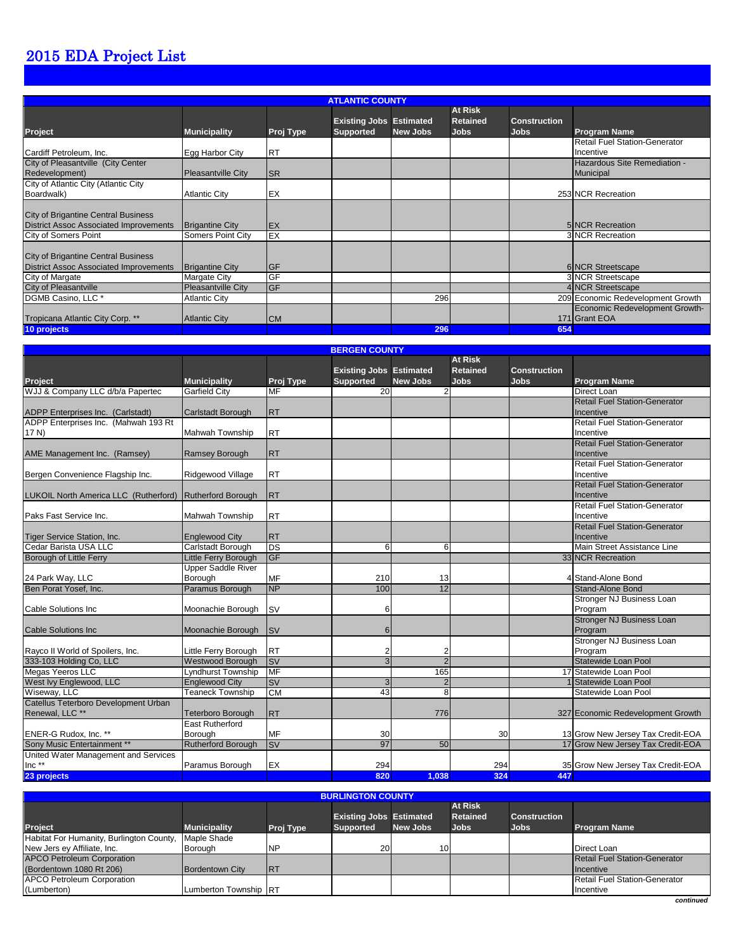### 2015 EDA Project List

|                                                                                             | <b>ATLANTIC COUNTY</b>    |            |                                                    |          |                                                  |                                    |                                                 |  |  |  |  |
|---------------------------------------------------------------------------------------------|---------------------------|------------|----------------------------------------------------|----------|--------------------------------------------------|------------------------------------|-------------------------------------------------|--|--|--|--|
| <b>Project</b>                                                                              | <b>Municipality</b>       | Proj Type  | <b>Existing Jobs Estimated</b><br><b>Supported</b> | New Jobs | <b>At Risk</b><br><b>Retained</b><br><b>Jobs</b> | <b>Construction</b><br><b>Jobs</b> | <b>Program Name</b>                             |  |  |  |  |
| Cardiff Petroleum, Inc.                                                                     | Egg Harbor City           | <b>RT</b>  |                                                    |          |                                                  |                                    | Retail Fuel Station-Generator<br>Incentive      |  |  |  |  |
| City of Pleasantville (City Center<br>Redevelopment)                                        | <b>Pleasantville City</b> | <b>ISR</b> |                                                    |          |                                                  |                                    | Hazardous Site Remediation -<br>Municipal       |  |  |  |  |
| City of Atlantic City (Atlantic City<br>Boardwalk)                                          | <b>Atlantic City</b>      | EX         |                                                    |          |                                                  |                                    | 253 NCR Recreation                              |  |  |  |  |
| <b>City of Brigantine Central Business</b><br><b>District Assoc Associated Improvements</b> | <b>Brigantine City</b>    | <b>EX</b>  |                                                    |          |                                                  |                                    | <b>5INCR Recreation</b>                         |  |  |  |  |
| City of Somers Point                                                                        | Somers Point City         | EX         |                                                    |          |                                                  |                                    | <b>3 NCR Recreation</b>                         |  |  |  |  |
| <b>City of Brigantine Central Business</b><br><b>District Assoc Associated Improvements</b> | <b>Brigantine City</b>    | <b>GF</b>  |                                                    |          |                                                  |                                    | 6 NCR Streetscape                               |  |  |  |  |
| City of Margate                                                                             | Margate City              | GF         |                                                    |          |                                                  |                                    | <b>3 NCR Streetscape</b>                        |  |  |  |  |
| <b>City of Pleasantville</b>                                                                | Pleasantville City        | GF         |                                                    |          |                                                  |                                    | 4 NCR Streetscape                               |  |  |  |  |
| DGMB Casino, LLC *                                                                          | <b>Atlantic City</b>      |            |                                                    | 296      |                                                  |                                    | 209 Economic Redevelopment Growth               |  |  |  |  |
| Tropicana Atlantic City Corp. **                                                            | <b>Atlantic City</b>      | <b>CM</b>  |                                                    |          |                                                  |                                    | Economic Redevelopment Growth-<br>171 Grant EOA |  |  |  |  |
| 10 projects                                                                                 |                           |            |                                                    | 296      |                                                  | 654                                |                                                 |  |  |  |  |

|                                                                           | <b>BERGEN COUNTY</b>       |            |                                                    |                 |                                                  |                             |                                      |  |  |  |
|---------------------------------------------------------------------------|----------------------------|------------|----------------------------------------------------|-----------------|--------------------------------------------------|-----------------------------|--------------------------------------|--|--|--|
|                                                                           | <b>Municipality</b>        | Proj Type  | <b>Existing Jobs Estimated</b><br><b>Supported</b> | <b>New Jobs</b> | <b>At Risk</b><br><b>Retained</b><br><b>Jobs</b> | <b>Construction</b><br>Jobs | <b>Program Name</b>                  |  |  |  |
| <b>Project</b><br>WJJ & Company LLC d/b/a Papertec                        |                            |            | $\overline{20}$                                    |                 |                                                  |                             | <b>Direct Loan</b>                   |  |  |  |
|                                                                           | <b>Garfield City</b>       | MF         |                                                    | $\overline{2}$  |                                                  |                             | <b>Retail Fuel Station-Generator</b> |  |  |  |
|                                                                           |                            |            |                                                    |                 |                                                  |                             | Incentive                            |  |  |  |
| ADPP Enterprises Inc. (Carlstadt)<br>ADPP Enterprises Inc. (Mahwah 193 Rt | Carlstadt Borough          | <b>RT</b>  |                                                    |                 |                                                  |                             | <b>Retail Fuel Station-Generator</b> |  |  |  |
|                                                                           | <b>Mahwah Township</b>     |            |                                                    |                 |                                                  |                             | Incentive                            |  |  |  |
| 17 N)                                                                     |                            | <b>RT</b>  |                                                    |                 |                                                  |                             | <b>Retail Fuel Station-Generator</b> |  |  |  |
|                                                                           |                            |            |                                                    |                 |                                                  |                             | Incentive                            |  |  |  |
| AME Management Inc. (Ramsey)                                              | Ramsey Borough             | <b>RT</b>  |                                                    |                 |                                                  |                             | <b>Retail Fuel Station-Generator</b> |  |  |  |
|                                                                           |                            | <b>RT</b>  |                                                    |                 |                                                  |                             | Incentive                            |  |  |  |
| Bergen Convenience Flagship Inc.                                          | Ridgewood Village          |            |                                                    |                 |                                                  |                             | <b>Retail Fuel Station-Generator</b> |  |  |  |
| LUKOIL North America LLC (Rutherford) Rutherford Borough                  |                            | <b>RT</b>  |                                                    |                 |                                                  |                             | Incentive                            |  |  |  |
|                                                                           |                            |            |                                                    |                 |                                                  |                             | <b>Retail Fuel Station-Generator</b> |  |  |  |
| Paks Fast Service Inc.                                                    | Mahwah Township            |            |                                                    |                 |                                                  |                             | Incentive                            |  |  |  |
|                                                                           |                            | <b>RT</b>  |                                                    |                 |                                                  |                             | <b>Retail Fuel Station-Generator</b> |  |  |  |
| <b>Tiger Service Station, Inc.</b>                                        | <b>Englewood City</b>      | <b>RT</b>  |                                                    |                 |                                                  |                             | Incentive                            |  |  |  |
| Cedar Barista USA LLC                                                     | Carlstadt Borough          | <b>DS</b>  | 6                                                  | 6               |                                                  |                             | Main Street Assistance Line          |  |  |  |
|                                                                           |                            | GF         |                                                    |                 |                                                  |                             | 33 NCR Recreation                    |  |  |  |
| Borough of Little Ferry                                                   | Little Ferry Borough       |            |                                                    |                 |                                                  |                             |                                      |  |  |  |
|                                                                           | <b>Upper Saddle River</b>  | <b>MF</b>  |                                                    |                 |                                                  |                             | 4 Stand-Alone Bond                   |  |  |  |
| 24 Park Way, LLC<br>Ben Porat Yosef, Inc.                                 | Borough<br>Paramus Borough | <b>NP</b>  | 210<br>100                                         | 13<br>12        |                                                  |                             | <b>Stand-Alone Bond</b>              |  |  |  |
|                                                                           |                            |            |                                                    |                 |                                                  |                             |                                      |  |  |  |
|                                                                           |                            | <b>SV</b>  |                                                    |                 |                                                  |                             | Stronger NJ Business Loan            |  |  |  |
| <b>Cable Solutions Inc</b>                                                | Moonachie Borough          |            | 6                                                  |                 |                                                  |                             | Program                              |  |  |  |
|                                                                           |                            | <b>ISV</b> |                                                    |                 |                                                  |                             | <b>Stronger NJ Business Loan</b>     |  |  |  |
| <b>Cable Solutions Inc.</b>                                               | Moonachie Borough          |            | 6                                                  |                 |                                                  |                             | Program<br>Stronger NJ Business Loan |  |  |  |
|                                                                           |                            |            |                                                    |                 |                                                  |                             |                                      |  |  |  |
| Rayco II World of Spoilers, Inc.                                          | Little Ferry Borough       | <b>RT</b>  | $\overline{2}$                                     | $\overline{2}$  |                                                  |                             | Program                              |  |  |  |
| 333-103 Holding Co, LLC                                                   | <b>Westwood Borough</b>    | <b>ISV</b> | $\overline{3}$                                     | $\overline{2}$  |                                                  |                             | Statewide Loan Pool                  |  |  |  |
| Megas Yeeros LLC                                                          | Lyndhurst Township         | <b>MF</b>  |                                                    | 165             |                                                  |                             | 17 Statewide Loan Pool               |  |  |  |
| West Ivy Englewood, LLC                                                   | <b>Englewood City</b>      | <b>SV</b>  | 3                                                  | $\overline{2}$  |                                                  |                             | Statewide Loan Pool                  |  |  |  |
| Wiseway, LLC                                                              | <b>Teaneck Township</b>    | <b>CM</b>  | 43                                                 | 8               |                                                  |                             | Statewide Loan Pool                  |  |  |  |
| Catellus Teterboro Development Urban                                      |                            |            |                                                    |                 |                                                  |                             |                                      |  |  |  |
| Renewal, LLC **                                                           | <b>Teterboro Borough</b>   | <b>RT</b>  |                                                    | 776             |                                                  |                             | 327 Economic Redevelopment Growth    |  |  |  |
|                                                                           | <b>East Rutherford</b>     |            |                                                    |                 |                                                  |                             |                                      |  |  |  |
| ENER-G Rudox, Inc. **                                                     | Borough                    | MF         | 30                                                 |                 | 30                                               |                             | 13 Grow New Jersey Tax Credit-EOA    |  |  |  |
| Sony Music Entertainment **                                               | <b>Rutherford Borough</b>  | <b>SV</b>  | 97                                                 | 50              |                                                  |                             | 17 Grow New Jersey Tax Credit-EOA    |  |  |  |
| United Water Management and Services                                      |                            |            |                                                    |                 |                                                  |                             |                                      |  |  |  |
| Inc **                                                                    | Paramus Borough            | EX         | 294                                                |                 | 294                                              |                             | 35 Grow New Jersey Tax Credit-EOA    |  |  |  |
| 23 projects                                                               |                            |            | 820                                                | 1.038           | 324                                              | 447                         |                                      |  |  |  |

| <b>BURLINGTON COUNTY</b>                 |                       |            |                                |                 |                 |                     |                                      |  |  |  |
|------------------------------------------|-----------------------|------------|--------------------------------|-----------------|-----------------|---------------------|--------------------------------------|--|--|--|
|                                          |                       |            |                                |                 | <b>At Risk</b>  |                     |                                      |  |  |  |
|                                          |                       |            | <b>Existing Jobs Estimated</b> |                 | <b>Retained</b> | <b>Construction</b> |                                      |  |  |  |
| <b>Project</b>                           | <b>Municipality</b>   | Proj Type  | <b>Supported</b>               | <b>New Jobs</b> | <b>Jobs</b>     | <b>Jobs</b>         | <b>Program Name</b>                  |  |  |  |
| Habitat For Humanity, Burlington County, | Maple Shade           |            |                                |                 |                 |                     |                                      |  |  |  |
| New Jers ey Affiliate, Inc.              | Borough               | <b>NP</b>  | <b>20</b>                      | 10              |                 |                     | Direct Loan                          |  |  |  |
| <b>APCO Petroleum Corporation</b>        |                       |            |                                |                 |                 |                     | <b>Retail Fuel Station-Generator</b> |  |  |  |
| (Bordentown 1080 Rt 206)                 | Bordentown City       | <b>IRT</b> |                                |                 |                 |                     | <b>Incentive</b>                     |  |  |  |
| <b>APCO Petroleum Corporation</b>        |                       |            |                                |                 |                 |                     | <b>Retail Fuel Station-Generator</b> |  |  |  |
| (Lumberton)                              | Lumberton Township RT |            |                                |                 |                 |                     | Incentive                            |  |  |  |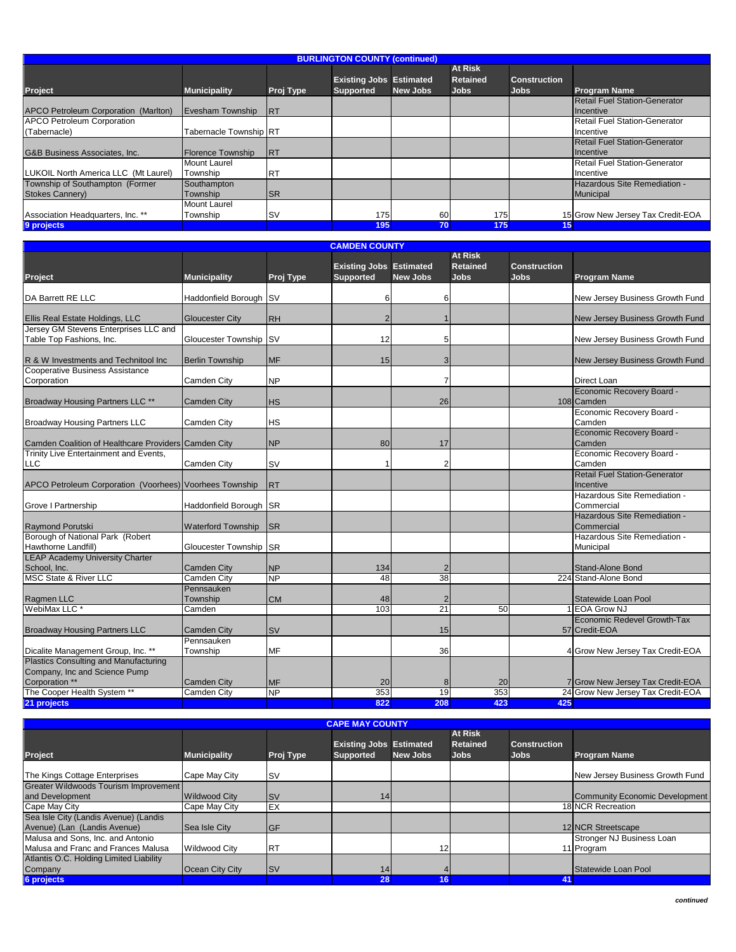| <b>BURLINGTON COUNTY (continued)</b>               |                                 |                  |                                |                 |                            |                     |                                                   |  |  |
|----------------------------------------------------|---------------------------------|------------------|--------------------------------|-----------------|----------------------------|---------------------|---------------------------------------------------|--|--|
|                                                    |                                 |                  | <b>Existing Jobs Estimated</b> |                 | <b>At Risk</b><br>Retained | <b>Construction</b> |                                                   |  |  |
| <b>Project</b>                                     | <b>Municipality</b>             | <b>Proj Type</b> | <b>Supported</b>               | <b>New Jobs</b> | <b>Jobs</b>                | <b>Jobs</b>         | <b>Program Name</b>                               |  |  |
| APCO Petroleum Corporation (Marlton)               | Evesham Township                | <b>IRT</b>       |                                |                 |                            |                     | <b>Retail Fuel Station-Generator</b><br>Incentive |  |  |
| <b>APCO Petroleum Corporation</b>                  |                                 |                  |                                |                 |                            |                     | <b>Retail Fuel Station-Generator</b>              |  |  |
| (Tabernacle)                                       | Tabernacle Township RT          |                  |                                |                 |                            |                     | Incentive                                         |  |  |
| G&B Business Associates, Inc.                      | <b>IFlorence Township</b>       | <b>IRT</b>       |                                |                 |                            |                     | <b>Retail Fuel Station-Generator</b><br>Incentive |  |  |
| LUKOIL North America LLC (Mt Laurel)               | <b>Mount Laurel</b><br>Township | <b>IRT</b>       |                                |                 |                            |                     | <b>Retail Fuel Station-Generator</b><br>Incentive |  |  |
| Township of Southampton (Former<br>Stokes Cannery) | Southampton<br>Township         | <b>ISR</b>       |                                |                 |                            |                     | Hazardous Site Remediation -<br>Municipal         |  |  |
| Association Headquarters, Inc. **                  | <b>Mount Laurel</b><br>Township | <b>SV</b>        | 175                            | 60              | 175                        |                     | 15 Grow New Jersey Tax Credit-EOA                 |  |  |
| 9 projects                                         |                                 |                  | 195                            | 70              | 175                        | (15)                |                                                   |  |  |

|                                                         |                           |           | <b>CAMDEN COUNTY</b>           |                 |                 |                     |                                      |
|---------------------------------------------------------|---------------------------|-----------|--------------------------------|-----------------|-----------------|---------------------|--------------------------------------|
|                                                         |                           |           |                                |                 | <b>At Risk</b>  |                     |                                      |
|                                                         |                           |           | <b>Existing Jobs Estimated</b> |                 | <b>Retained</b> | <b>Construction</b> |                                      |
| <b>Project</b>                                          | <b>Municipality</b>       | Proj Type | <b>Supported</b>               | <b>New Jobs</b> | <b>Jobs</b>     | <b>Jobs</b>         | <b>Program Name</b>                  |
|                                                         |                           |           |                                |                 |                 |                     |                                      |
| DA Barrett RE LLC                                       | Haddonfield Borough SV    |           | 6                              | 6               |                 |                     | New Jersey Business Growth Fund      |
|                                                         |                           |           |                                |                 |                 |                     |                                      |
| Ellis Real Estate Holdings, LLC                         | <b>Gloucester City</b>    | <b>RH</b> | $\overline{2}$                 | $\mathbf 1$     |                 |                     | New Jersey Business Growth Fund      |
| Jersey GM Stevens Enterprises LLC and                   |                           |           |                                |                 |                 |                     |                                      |
| Table Top Fashions, Inc.                                | Gloucester Township SV    |           | 12                             | 5               |                 |                     | New Jersey Business Growth Fund      |
|                                                         |                           |           |                                |                 |                 |                     |                                      |
| R & W Investments and Technitool Inc                    | <b>Berlin Township</b>    | <b>MF</b> | 15                             | 3               |                 |                     | New Jersey Business Growth Fund      |
| <b>Cooperative Business Assistance</b>                  |                           |           |                                |                 |                 |                     |                                      |
| Corporation                                             | Camden City               | <b>NP</b> |                                | 7               |                 |                     | Direct Loan                          |
|                                                         |                           |           |                                |                 |                 |                     | Economic Recovery Board -            |
| Broadway Housing Partners LLC **                        | <b>Camden City</b>        | <b>HS</b> |                                | 26              |                 |                     | 108 Camden                           |
|                                                         |                           |           |                                |                 |                 |                     | Economic Recovery Board -            |
| <b>Broadway Housing Partners LLC</b>                    | Camden City               | <b>HS</b> |                                |                 |                 |                     | Camden                               |
|                                                         |                           |           |                                |                 |                 |                     | Economic Recovery Board -            |
| Camden Coalition of Healthcare Providers Camden City    |                           | <b>NP</b> | 80                             | 17              |                 |                     | Camden                               |
| Trinity Live Entertainment and Events,                  |                           |           |                                |                 |                 |                     | Economic Recovery Board -            |
| <b>LLC</b>                                              | <b>Camden City</b>        | <b>SV</b> |                                | 2               |                 |                     | Camden                               |
|                                                         |                           |           |                                |                 |                 |                     | <b>Retail Fuel Station-Generator</b> |
| APCO Petroleum Corporation (Voorhees) Voorhees Township |                           | <b>RT</b> |                                |                 |                 |                     | Incentive                            |
|                                                         |                           |           |                                |                 |                 |                     | Hazardous Site Remediation -         |
| Grove I Partnership                                     | Haddonfield Borough SR    |           |                                |                 |                 |                     | Commercial                           |
|                                                         |                           |           |                                |                 |                 |                     | Hazardous Site Remediation -         |
| <b>Raymond Porutski</b>                                 | <b>Waterford Township</b> | <b>SR</b> |                                |                 |                 |                     | Commercial                           |
| Borough of National Park (Robert                        |                           |           |                                |                 |                 |                     | Hazardous Site Remediation -         |
| Hawthorne Landfill)                                     | Gloucester Township       | <b>SR</b> |                                |                 |                 |                     | Municipal                            |
| <b>LEAP Academy University Charter</b>                  |                           |           |                                |                 |                 |                     |                                      |
| School, Inc.                                            | <b>Camden City</b>        | <b>NP</b> | 134                            | $\overline{2}$  |                 |                     | <b>Stand-Alone Bond</b>              |
| <b>MSC State &amp; River LLC</b>                        | <b>Camden City</b>        | NP        | 48                             | 38              |                 |                     | 224 Stand-Alone Bond                 |
|                                                         | Pennsauken                |           |                                |                 |                 |                     |                                      |
| Ragmen LLC                                              | Township                  | <b>CM</b> | 48                             | $\overline{2}$  |                 |                     | Statewide Loan Pool                  |
| WebiMax LLC <sup>*</sup>                                | Camden                    |           | 103                            | $\overline{21}$ | 50              |                     | 1 EOA Grow NJ                        |
|                                                         |                           |           |                                |                 |                 |                     | Economic Redevel Growth-Tax          |
| <b>Broadway Housing Partners LLC</b>                    | <b>Camden City</b>        | <b>SV</b> |                                | 15              |                 |                     | 57 Credit-EOA                        |
|                                                         | Pennsauken                |           |                                |                 |                 |                     |                                      |
| Dicalite Management Group, Inc. **                      | Township                  | <b>MF</b> |                                | 36              |                 |                     | 4 Grow New Jersey Tax Credit-EOA     |
| Plastics Consulting and Manufacturing                   |                           |           |                                |                 |                 |                     |                                      |
| Company, Inc and Science Pump                           |                           |           |                                |                 |                 |                     |                                      |
| Corporation **                                          | <b>Camden City</b>        | <b>MF</b> | 20                             | 8               | 20              |                     | 7 Grow New Jersey Tax Credit-EOA     |
| The Cooper Health System **                             | <b>Camden City</b>        | NP        | 353                            | 19              | 353             |                     | 24 Grow New Jersey Tax Credit-EOA    |
| 21 projects                                             |                           |           | 822                            | 208             | 423             | 425                 |                                      |

|                                         | <b>CAPE MAY COUNTY</b> |            |                                |                 |                 |                     |                                 |  |  |  |
|-----------------------------------------|------------------------|------------|--------------------------------|-----------------|-----------------|---------------------|---------------------------------|--|--|--|
|                                         |                        |            |                                |                 | <b>At Risk</b>  |                     |                                 |  |  |  |
|                                         |                        |            | <b>Existing Jobs Estimated</b> |                 | <b>Retained</b> | <b>Construction</b> |                                 |  |  |  |
| <b>Project</b>                          | <b>Municipality</b>    | Proj Type  | <b>Supported</b>               | <b>New Jobs</b> | <b>Jobs</b>     | <b>Jobs</b>         | <b>Program Name</b>             |  |  |  |
|                                         |                        |            |                                |                 |                 |                     |                                 |  |  |  |
| The Kings Cottage Enterprises           | Cape May City          | <b>SV</b>  |                                |                 |                 |                     | New Jersey Business Growth Fund |  |  |  |
| Greater Wildwoods Tourism Improvement   |                        |            |                                |                 |                 |                     |                                 |  |  |  |
| and Development                         | Wildwood City          | <b>ISV</b> | 14                             |                 |                 |                     | Community Economic Development  |  |  |  |
| Cape May City                           | Cape May City          | EX         |                                |                 |                 |                     | 18 NCR Recreation               |  |  |  |
| Sea Isle City (Landis Avenue) (Landis   |                        |            |                                |                 |                 |                     |                                 |  |  |  |
| Avenue) (Lan (Landis Avenue)            | Sea Isle City          | <b>IGF</b> |                                |                 |                 |                     | 12 NCR Streetscape              |  |  |  |
| Malusa and Sons, Inc. and Antonio       |                        |            |                                |                 |                 |                     | Stronger NJ Business Loan       |  |  |  |
| Malusa and Franc and Frances Malusa     | <b>Wildwood City</b>   | <b>RT</b>  |                                | 12              |                 |                     | 11 Program                      |  |  |  |
| Atlantis O.C. Holding Limited Liability |                        |            |                                |                 |                 |                     |                                 |  |  |  |
| Company                                 | Ocean City City        | <b>ISV</b> | 14 <sub>1</sub>                |                 |                 |                     | Statewide Loan Pool             |  |  |  |
| <b>6 projects</b>                       |                        |            | 28                             | 16              |                 | 41                  |                                 |  |  |  |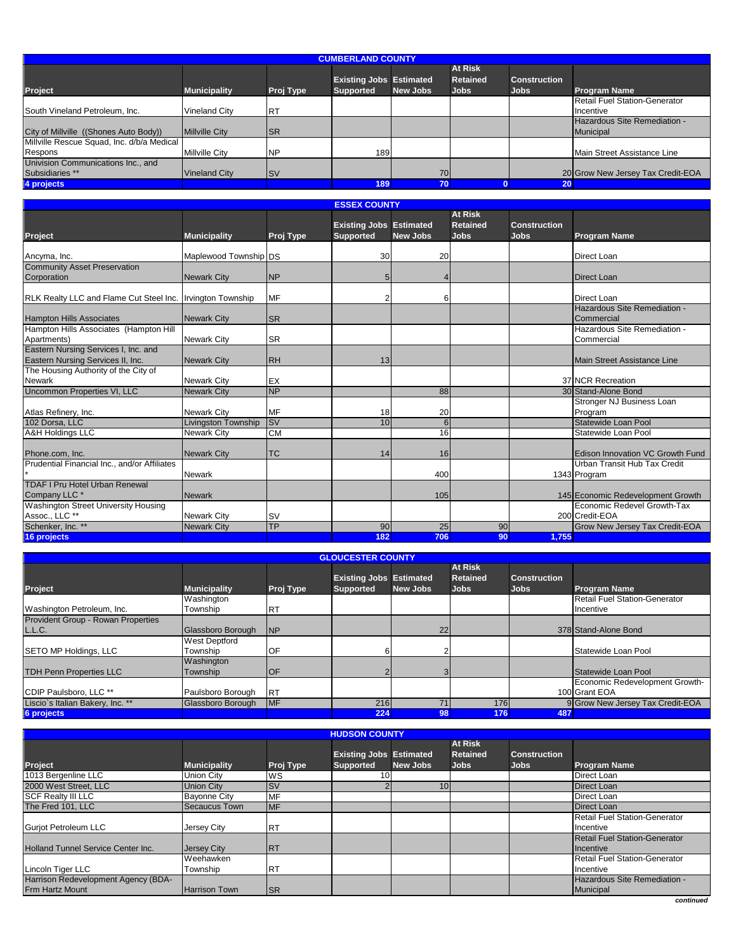| <b>CUMBERLAND COUNTY</b>                   |                       |            |                                |                 |                 |                     |                                   |  |  |
|--------------------------------------------|-----------------------|------------|--------------------------------|-----------------|-----------------|---------------------|-----------------------------------|--|--|
|                                            |                       |            |                                |                 | <b>At Risk</b>  |                     |                                   |  |  |
|                                            |                       |            | <b>Existing Jobs Estimated</b> |                 | <b>Retained</b> | <b>Construction</b> |                                   |  |  |
| <b>Project</b>                             | <b>Municipality</b>   | Proj Type  | <b>Supported</b>               | <b>New Jobs</b> | <b>Jobs</b>     | <b>Jobs</b>         | <b>Program Name</b>               |  |  |
|                                            |                       |            |                                |                 |                 |                     | Retail Fuel Station-Generator     |  |  |
| South Vineland Petroleum, Inc.             | Vineland City         | İRT        |                                |                 |                 |                     | Incentive                         |  |  |
|                                            |                       |            |                                |                 |                 |                     | Hazardous Site Remediation -      |  |  |
| City of Millville ((Shones Auto Body))     | <b>Millville City</b> | <b>ISR</b> |                                |                 |                 |                     | Municipal                         |  |  |
| Millville Rescue Squad, Inc. d/b/a Medical |                       |            |                                |                 |                 |                     |                                   |  |  |
| Respons                                    | <b>Millville City</b> | <b>NP</b>  | 189                            |                 |                 |                     | Main Street Assistance Line       |  |  |
| Univision Communications Inc., and         |                       |            |                                |                 |                 |                     |                                   |  |  |
| Subsidiaries **                            | <b>Vineland City</b>  | <b>ISV</b> |                                | 70              |                 |                     | 20 Grow New Jersey Tax Credit-EOA |  |  |
| 4 projects                                 |                       |            | 189                            | 70              |                 | 20 <sup>°</sup>     |                                   |  |  |

#### **ESSEX COUNTY**

|                                                            |                            |           |                                |                 | <b>At Risk</b>  |                     |                                         |
|------------------------------------------------------------|----------------------------|-----------|--------------------------------|-----------------|-----------------|---------------------|-----------------------------------------|
|                                                            |                            |           | <b>Existing Jobs Estimated</b> |                 | <b>Retained</b> | <b>Construction</b> |                                         |
| <b>Project</b>                                             | <b>Municipality</b>        | Proj Type | <b>Supported</b>               | <b>New Jobs</b> | <b>Jobs</b>     | <b>Jobs</b>         | <b>Program Name</b>                     |
|                                                            |                            |           |                                |                 |                 |                     |                                         |
| Ancyma, Inc.                                               | Maplewood Township DS      |           | 30                             | 20              |                 |                     | <b>Direct Loan</b>                      |
| <b>Community Asset Preservation</b>                        |                            |           |                                |                 |                 |                     |                                         |
| Corporation                                                | <b>Newark City</b>         | <b>NP</b> | 5                              | 4               |                 |                     | <b>Direct Loan</b>                      |
|                                                            |                            |           |                                |                 |                 |                     |                                         |
| RLK Realty LLC and Flame Cut Steel Inc. Irvington Township |                            | <b>MF</b> |                                | 6               |                 |                     | <b>Direct Loan</b>                      |
|                                                            |                            |           |                                |                 |                 |                     | Hazardous Site Remediation -            |
| <b>Hampton Hills Associates</b>                            | <b>Newark City</b>         | <b>SR</b> |                                |                 |                 |                     | Commercial                              |
| Hampton Hills Associates (Hampton Hill                     |                            |           |                                |                 |                 |                     | Hazardous Site Remediation -            |
| Apartments)                                                | <b>Newark City</b>         | <b>SR</b> |                                |                 |                 |                     | Commercial                              |
| Eastern Nursing Services I, Inc. and                       |                            |           |                                |                 |                 |                     |                                         |
| Eastern Nursing Services II, Inc.                          | <b>Newark City</b>         | <b>RH</b> | 13                             |                 |                 |                     | Main Street Assistance Line             |
| The Housing Authority of the City of                       |                            |           |                                |                 |                 |                     |                                         |
| <b>Newark</b>                                              | <b>Newark City</b>         | EX        |                                |                 |                 |                     | 37 NCR Recreation                       |
| <b>Uncommon Properties VI, LLC</b>                         | <b>Newark City</b>         | <b>NP</b> |                                | 88              |                 |                     | 30 Stand-Alone Bond                     |
|                                                            |                            |           |                                |                 |                 |                     | Stronger NJ Business Loan               |
| Atlas Refinery, Inc.                                       | <b>Newark City</b>         | MF        | 18                             | 20              |                 |                     | Program                                 |
| 102 Dorsa, LLC                                             | <b>Livingston Township</b> | <b>SV</b> | 10                             | $\overline{6}$  |                 |                     | Statewide Loan Pool                     |
| <b>A&amp;H Holdings LLC</b>                                | <b>Newark City</b>         | <b>CM</b> |                                | 16              |                 |                     | Statewide Loan Pool                     |
|                                                            |                            |           |                                |                 |                 |                     |                                         |
| Phone.com, Inc.                                            | <b>Newark City</b>         | <b>TC</b> | 14                             | 16              |                 |                     | <b>Edison Innovation VC Growth Fund</b> |
| Prudential Financial Inc., and/or Affiliates               |                            |           |                                |                 |                 |                     | Urban Transit Hub Tax Credit            |
|                                                            | <b>Newark</b>              |           |                                | 400             |                 |                     | 1343 Program                            |
| <b>TDAF I Pru Hotel Urban Renewal</b>                      |                            |           |                                |                 |                 |                     |                                         |
| Company LLC <sup>*</sup>                                   | <b>Newark</b>              |           |                                | 105             |                 |                     | 145 Economic Redevelopment Growth       |
| Washington Street University Housing                       |                            |           |                                |                 |                 |                     | Economic Redevel Growth-Tax             |
| Assoc., LLC **                                             | <b>Newark City</b>         | <b>SV</b> |                                |                 |                 |                     | 200 Credit-EOA                          |
| Schenker, Inc. **                                          | <b>Newark City</b>         | <b>TP</b> | 90                             | 25              | 90              |                     | Grow New Jersey Tax Credit-EOA          |
| 16 projects                                                |                            |           | 182                            | 706             | 90              | 1,755               |                                         |

|                                           | <b>GLOUCESTER COUNTY</b> |            |                                |                 |                 |                     |                                      |  |  |  |  |
|-------------------------------------------|--------------------------|------------|--------------------------------|-----------------|-----------------|---------------------|--------------------------------------|--|--|--|--|
|                                           |                          |            |                                |                 | <b>At Risk</b>  |                     |                                      |  |  |  |  |
|                                           |                          |            | <b>Existing Jobs Estimated</b> |                 | <b>Retained</b> | <b>Construction</b> |                                      |  |  |  |  |
| <b>Project</b>                            | <b>Municipality</b>      | Proj Type  | <b>Supported</b>               | <b>New Jobs</b> | <b>Jobs</b>     | <b>Jobs</b>         | <b>Program Name</b>                  |  |  |  |  |
|                                           | Washington               |            |                                |                 |                 |                     | <b>Retail Fuel Station-Generator</b> |  |  |  |  |
| Washington Petroleum, Inc.                | Township                 | <b>RT</b>  |                                |                 |                 |                     | Incentive                            |  |  |  |  |
| <b>Provident Group - Rowan Properties</b> |                          |            |                                |                 |                 |                     |                                      |  |  |  |  |
| L.L.C.                                    | Glassboro Borough        | <b>NP</b>  |                                | 22              |                 |                     | 378 Stand-Alone Bond                 |  |  |  |  |
|                                           | <b>West Deptford</b>     |            |                                |                 |                 |                     |                                      |  |  |  |  |
| <b>SETO MP Holdings, LLC</b>              | Township                 | OF         |                                |                 |                 |                     | Statewide Loan Pool                  |  |  |  |  |
|                                           | Washington               |            |                                |                 |                 |                     |                                      |  |  |  |  |
| <b>TDH Penn Properties LLC</b>            | Township                 | <b>OF</b>  |                                |                 |                 |                     | Statewide Loan Pool                  |  |  |  |  |
|                                           |                          |            |                                |                 |                 |                     | Economic Redevelopment Growth-       |  |  |  |  |
| CDIP Paulsboro, LLC **                    | Paulsboro Borough        | <b>RT</b>  |                                |                 |                 |                     | 100 Grant EOA                        |  |  |  |  |
| Liscio's Italian Bakery, Inc. **          | Glassboro Borough        | <b>IMF</b> | 216                            | 71              | <b>176</b>      |                     | 9 Grow New Jersey Tax Credit-EOA     |  |  |  |  |
| 6 projects                                |                          |            | 224                            | 98              | 176             | 487                 |                                      |  |  |  |  |

| <b>HUDSON COUNTY</b>                      |                      |            |                                |                 |                 |                     |                                      |  |  |  |
|-------------------------------------------|----------------------|------------|--------------------------------|-----------------|-----------------|---------------------|--------------------------------------|--|--|--|
|                                           |                      |            |                                |                 | <b>At Risk</b>  |                     |                                      |  |  |  |
|                                           |                      |            | <b>Existing Jobs Estimated</b> |                 | <b>Retained</b> | <b>Construction</b> |                                      |  |  |  |
| Project                                   | <b>Municipality</b>  | Proj Type  | <b>Supported</b>               | <b>New Jobs</b> | <b>Jobs</b>     | <b>Jobs</b>         | <b>Program Name</b>                  |  |  |  |
| 1013 Bergenline LLC                       | <b>Union City</b>    | <b>WS</b>  |                                |                 |                 |                     | Direct Loan                          |  |  |  |
| 2000 West Street. LLC                     | <b>Union City</b>    | <b>SV</b>  |                                | 10 <sub>1</sub> |                 |                     | <b>Direct Loan</b>                   |  |  |  |
| <b>SCF Realty III LLC</b>                 | <b>Bayonne City</b>  | MF         |                                |                 |                 |                     | Direct Loan                          |  |  |  |
| The Fred 101, LLC                         | Secaucus Town        | <b>IMF</b> |                                |                 |                 |                     | Direct Loan                          |  |  |  |
|                                           |                      |            |                                |                 |                 |                     | <b>Retail Fuel Station-Generator</b> |  |  |  |
| <b>Guriot Petroleum LLC</b>               | Jersey City          | <b>IRT</b> |                                |                 |                 |                     | Incentive                            |  |  |  |
|                                           |                      |            |                                |                 |                 |                     | <b>Retail Fuel Station-Generator</b> |  |  |  |
| <b>Holland Tunnel Service Center Inc.</b> | <b>Jersey City</b>   | <b>IRT</b> |                                |                 |                 |                     | Incentive                            |  |  |  |
|                                           | Weehawken            |            |                                |                 |                 |                     | Retail Fuel Station-Generator        |  |  |  |
| Lincoln Tiger LLC                         | Township             | <b>IRT</b> |                                |                 |                 |                     | Incentive                            |  |  |  |
| Harrison Redevelopment Agency (BDA-       |                      |            |                                |                 |                 |                     | Hazardous Site Remediation -         |  |  |  |
| <b>Frm Hartz Mount</b>                    | <b>Harrison Town</b> | <b>ISR</b> |                                |                 |                 |                     | Municipal                            |  |  |  |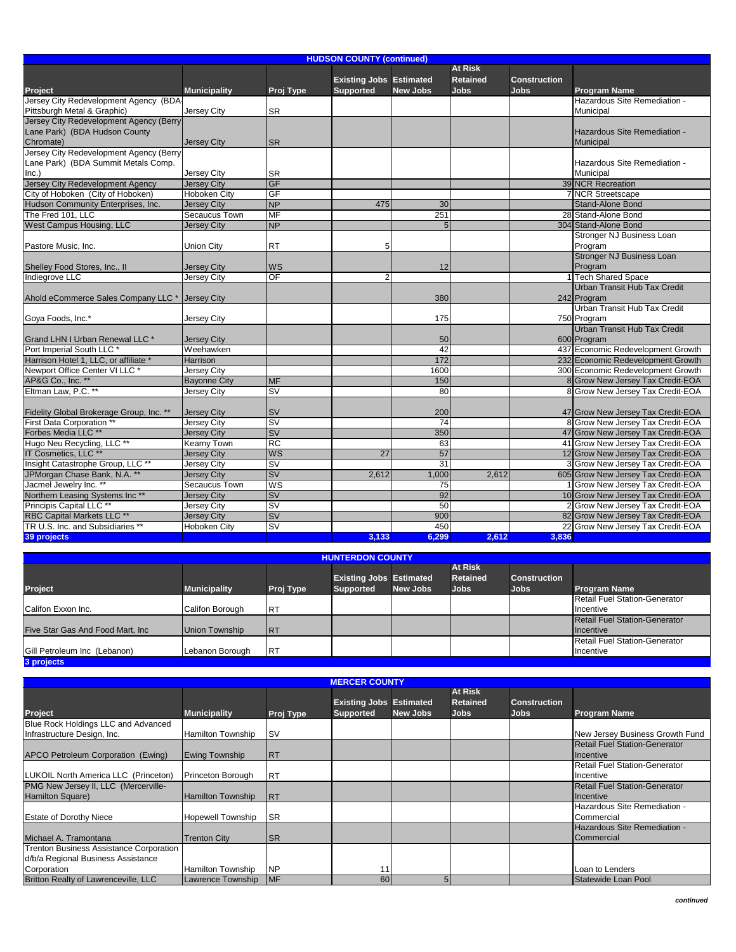| <b>HUDSON COUNTY (continued)</b>                                                        |                                          |                                                |                                                    |                 |                                           |                                    |                                                                        |  |  |
|-----------------------------------------------------------------------------------------|------------------------------------------|------------------------------------------------|----------------------------------------------------|-----------------|-------------------------------------------|------------------------------------|------------------------------------------------------------------------|--|--|
| Project                                                                                 | <b>Municipality</b>                      | Proj Type                                      | <b>Existing Jobs Estimated</b><br><b>Supported</b> | <b>New Jobs</b> | At Risk<br><b>Retained</b><br><b>Jobs</b> | <b>Construction</b><br><b>Jobs</b> | <b>Program Name</b>                                                    |  |  |
| Jersey City Redevelopment Agency (BDA<br>Pittsburgh Metal & Graphic)                    | Jersey City                              | <b>SR</b>                                      |                                                    |                 |                                           |                                    | Hazardous Site Remediation -<br>Municipal                              |  |  |
| Jersey City Redevelopment Agency (Berry<br>Lane Park) (BDA Hudson County<br>Chromate)   | <b>Jersey City</b>                       | <b>SR</b>                                      |                                                    |                 |                                           |                                    | Hazardous Site Remediation -<br>Municipal                              |  |  |
| Jersey City Redevelopment Agency (Berry<br>Lane Park) (BDA Summit Metals Comp.<br>Inc.) | Jersey City                              | <b>SR</b>                                      |                                                    |                 |                                           |                                    | Hazardous Site Remediation -<br>Municipal                              |  |  |
| Jersey City Redevelopment Agency                                                        | <b>Jersey City</b>                       | <b>GF</b>                                      |                                                    |                 |                                           |                                    | 39 NCR Recreation                                                      |  |  |
| City of Hoboken (City of Hoboken)                                                       | <b>Hoboken City</b>                      | GF                                             |                                                    |                 |                                           |                                    | 7 NCR Streetscape                                                      |  |  |
| Hudson Community Enterprises, Inc.                                                      | <b>Jersey City</b>                       | <b>NP</b>                                      | 475                                                | 30              |                                           |                                    | Stand-Alone Bond                                                       |  |  |
| The Fred 101. LLC                                                                       | Secaucus Town                            | <b>MF</b>                                      |                                                    | 251             |                                           |                                    | 28 Stand-Alone Bond                                                    |  |  |
| West Campus Housing, LLC                                                                | <b>Jersey City</b>                       | <b>NP</b>                                      |                                                    | 5               |                                           |                                    | 304 Stand-Alone Bond                                                   |  |  |
| Pastore Music, Inc.                                                                     | Union City                               | <b>RT</b>                                      | 5                                                  |                 |                                           |                                    | Stronger NJ Business Loan<br>Program                                   |  |  |
| Shelley Food Stores, Inc., II                                                           | <b>Jersey City</b>                       | WS                                             |                                                    | 12              |                                           |                                    | <b>Stronger NJ Business Loan</b><br>Program                            |  |  |
| Indiegrove LLC                                                                          | Jersey City                              | OF                                             | 2                                                  |                 |                                           |                                    | <b>Tech Shared Space</b>                                               |  |  |
| Ahold eCommerce Sales Company LLC *                                                     | <b>Jersey City</b>                       |                                                |                                                    | 380             |                                           |                                    | Urban Transit Hub Tax Credit<br>242 Program                            |  |  |
| Goya Foods, Inc.*                                                                       | Jersey City                              |                                                |                                                    | 175             |                                           |                                    | Urban Transit Hub Tax Credit<br>750 Program                            |  |  |
| Grand LHN I Urban Renewal LLC *                                                         | <b>Jersey City</b>                       |                                                |                                                    | 50              |                                           |                                    | Urban Transit Hub Tax Credit<br>600 Program                            |  |  |
| Port Imperial South LLC *                                                               | Weehawken                                |                                                |                                                    | 42              |                                           |                                    | 437 Economic Redevelopment Growth                                      |  |  |
| Harrison Hotel 1, LLC, or affiliate *                                                   | Harrison                                 |                                                |                                                    | 172             |                                           |                                    | 232 Economic Redevelopment Growth                                      |  |  |
| Newport Office Center VI LLC *                                                          | <b>Jersey City</b>                       |                                                |                                                    | 1600            |                                           |                                    | 300 Economic Redevelopment Growth                                      |  |  |
| AP&G Co., Inc. **                                                                       | <b>Bayonne City</b>                      | <b>MF</b>                                      |                                                    | 150             |                                           |                                    | 8 Grow New Jersey Tax Credit-EOA                                       |  |  |
| Eltman Law. P.C. **                                                                     | <b>Jersey City</b>                       | $\overline{\mathsf{sv}}$                       |                                                    | 80              |                                           |                                    | 8 Grow New Jersey Tax Credit-EOA                                       |  |  |
| Fidelity Global Brokerage Group, Inc. **<br>First Data Corporation *                    | <b>Jersey City</b><br><b>Jersey City</b> | <b>SV</b><br><b>SV</b>                         |                                                    | 200<br>74       |                                           |                                    | 47 Grow New Jersey Tax Credit-EOA<br>8 Grow New Jersey Tax Credit-EOA  |  |  |
| Forbes Media LLC **                                                                     | <b>Jersey City</b>                       | <b>SV</b>                                      |                                                    | 350             |                                           |                                    | 47 Grow New Jersey Tax Credit-EOA                                      |  |  |
| Hugo Neu Recycling, LLC **                                                              | <b>Kearny Town</b>                       | <b>RC</b>                                      |                                                    | 63              |                                           |                                    | 41 Grow New Jersey Tax Credit-EOA                                      |  |  |
| IT Cosmetics, LLC **                                                                    | <b>Jersey City</b>                       | WS                                             | 27                                                 | 57              |                                           |                                    | 12 Grow New Jersey Tax Credit-EOA                                      |  |  |
| Insight Catastrophe Group, LLC **                                                       | <b>Jersey City</b>                       | <b>SV</b>                                      |                                                    | 31              |                                           |                                    | 3 Grow New Jersey Tax Credit-EOA                                       |  |  |
| JPMorgan Chase Bank, N.A. **                                                            | <b>Jersey City</b>                       | <b>SV</b>                                      | 2,612                                              | 1.000           | 2.612                                     |                                    | 605 Grow New Jersey Tax Credit-EOA                                     |  |  |
| Jacmel Jewelry Inc. *                                                                   | Secaucus Town                            | WS                                             |                                                    | 75              |                                           |                                    | 1 Grow New Jersey Tax Credit-EOA                                       |  |  |
| Northern Leasing Systems Inc**                                                          |                                          | <b>SV</b>                                      |                                                    | 92              |                                           |                                    | 10 Grow New Jersey Tax Credit-EOA                                      |  |  |
| Principis Capital LLC <sup>**</sup>                                                     | <b>Jersey City</b>                       | <b>SV</b>                                      |                                                    | 50              |                                           |                                    | 2 Grow New Jersey Tax Credit-EOA                                       |  |  |
| <b>RBC Capital Markets LLC **</b>                                                       | Jersey City                              |                                                |                                                    | 900             |                                           |                                    |                                                                        |  |  |
| TR U.S. Inc. and Subsidiaries **                                                        | <b>Jersey City</b>                       | <b>SV</b><br>$\overline{\mathsf{s}}\mathsf{v}$ |                                                    | 450             |                                           |                                    | 82 Grow New Jersey Tax Credit-EOA<br>22 Grow New Jersey Tax Credit-EOA |  |  |
| 39 projects                                                                             | Hoboken City                             |                                                | 3,133                                              | 6,299           | 2.612                                     | 3,836                              |                                                                        |  |  |
|                                                                                         |                                          |                                                |                                                    |                 |                                           |                                    |                                                                        |  |  |

| <b>HUNTERDON COUNTY</b>                    |                     |            |                                                    |                 |                                                  |                                    |                                                   |  |  |  |
|--------------------------------------------|---------------------|------------|----------------------------------------------------|-----------------|--------------------------------------------------|------------------------------------|---------------------------------------------------|--|--|--|
| Project                                    | <b>Municipality</b> | Proj Type  | <b>Existing Jobs Estimated</b><br><b>Supported</b> | <b>New Jobs</b> | <b>At Risk</b><br><b>Retained</b><br><b>Jobs</b> | <b>Construction</b><br><b>Jobs</b> | <b>Program Name</b>                               |  |  |  |
| Califon Exxon Inc.                         | Califon Borough     | <b>RT</b>  |                                                    |                 |                                                  |                                    | Retail Fuel Station-Generator<br>Incentive        |  |  |  |
| Five Star Gas And Food Mart, Inc           | Union Township      | <b>IRT</b> |                                                    |                 |                                                  |                                    | <b>Retail Fuel Station-Generator</b><br>Incentive |  |  |  |
| Gill Petroleum Inc (Lebanon)<br>3 projects | Lebanon Borough     | <b>RT</b>  |                                                    |                 |                                                  |                                    | Retail Fuel Station-Generator<br>Incentive        |  |  |  |

|                                                                                      |                                               |                         | <b>MERCER COUNTY</b>                               |                 |                                                  |                                    |                                                          |
|--------------------------------------------------------------------------------------|-----------------------------------------------|-------------------------|----------------------------------------------------|-----------------|--------------------------------------------------|------------------------------------|----------------------------------------------------------|
| <b>Project</b>                                                                       | <b>Municipality</b>                           | Proj Type               | <b>Existing Jobs Estimated</b><br><b>Supported</b> | New Jobs        | <b>At Risk</b><br><b>Retained</b><br><b>Jobs</b> | <b>Construction</b><br><b>Jobs</b> | <b>Program Name</b>                                      |
| Blue Rock Holdings LLC and Advanced<br>Infrastructure Design, Inc.                   | Hamilton Township                             | <b>SV</b>               |                                                    |                 |                                                  |                                    | New Jersey Business Growth Fund                          |
| APCO Petroleum Corporation (Ewing)                                                   | <b>Ewing Township</b>                         | <b>IRT</b>              |                                                    |                 |                                                  |                                    | <b>Retail Fuel Station-Generator</b><br><b>Incentive</b> |
| LUKOIL North America LLC (Princeton)                                                 | <b>Princeton Borough</b>                      | <b>RT</b>               |                                                    |                 |                                                  |                                    | Retail Fuel Station-Generator<br>Incentive               |
| PMG New Jersey II, LLC (Mercerville-<br>Hamilton Square)                             | <b>Hamilton Township</b>                      | <b>IRT</b>              |                                                    |                 |                                                  |                                    | <b>Retail Fuel Station-Generator</b><br><b>Incentive</b> |
| <b>Estate of Dorothy Niece</b>                                                       | Hopewell Township                             | <b>SR</b>               |                                                    |                 |                                                  |                                    | Hazardous Site Remediation -<br>Commercial               |
| Michael A. Tramontana                                                                | <b>Trenton City</b>                           | <b>ISR</b>              |                                                    |                 |                                                  |                                    | Hazardous Site Remediation -<br>Commercial               |
| <b>Trenton Business Assistance Corporation</b><br>d/b/a Regional Business Assistance |                                               |                         |                                                    |                 |                                                  |                                    |                                                          |
| Corporation<br><b>Britton Realty of Lawrenceville, LLC</b>                           | <b>Hamilton Township</b><br>Lawrence Township | <b>NP</b><br><b>IMF</b> | 11<br>60                                           | $5\overline{5}$ |                                                  |                                    | Loan to Lenders<br>Statewide Loan Pool                   |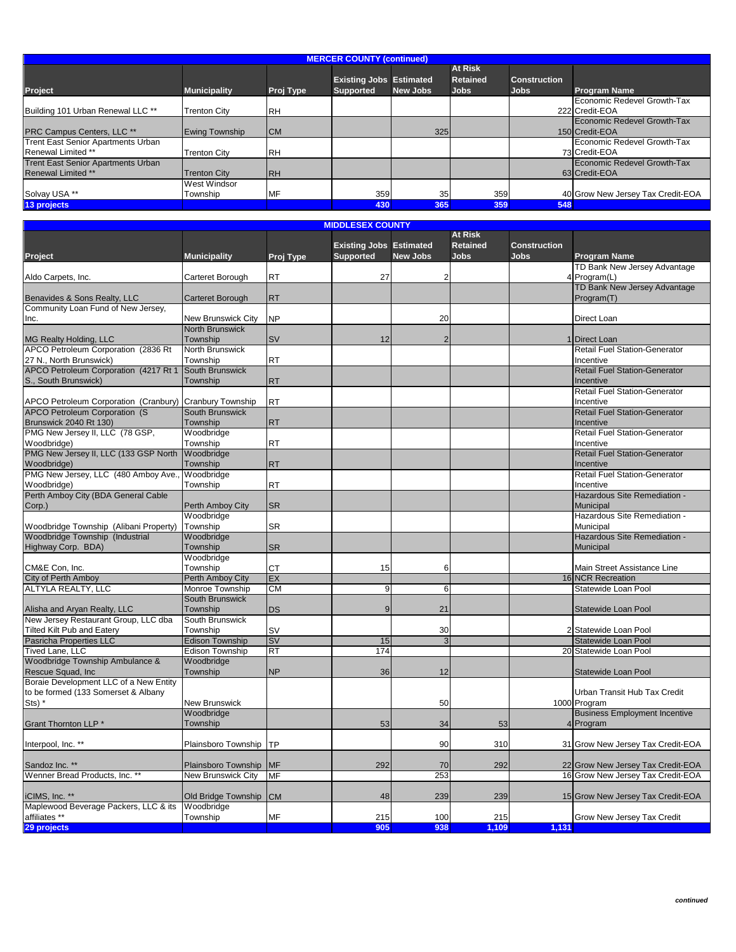| <b>MERCER COUNTY (continued)</b>          |                     |            |                                |                 |                 |                     |                                   |  |  |  |
|-------------------------------------------|---------------------|------------|--------------------------------|-----------------|-----------------|---------------------|-----------------------------------|--|--|--|
|                                           |                     |            |                                |                 | <b>At Risk</b>  |                     |                                   |  |  |  |
|                                           |                     |            | <b>Existing Jobs Estimated</b> |                 | <b>Retained</b> | <b>Construction</b> |                                   |  |  |  |
| Project                                   | <b>Municipality</b> | Proj Type  | <b>Supported</b>               | <b>New Jobs</b> | <b>Jobs</b>     | <b>Jobs</b>         | <b>Program Name</b>               |  |  |  |
|                                           |                     |            |                                |                 |                 |                     | Economic Redevel Growth-Tax       |  |  |  |
| Building 101 Urban Renewal LLC **         | <b>Trenton City</b> | <b>RH</b>  |                                |                 |                 |                     | 222 Credit-EOA                    |  |  |  |
|                                           |                     |            |                                |                 |                 |                     | Economic Redevel Growth-Tax       |  |  |  |
| <b>PRC Campus Centers, LLC **</b>         | Ewing Township      | <b>CM</b>  |                                | 325             |                 |                     | 150 Credit-EOA                    |  |  |  |
| Trent East Senior Apartments Urban        |                     |            |                                |                 |                 |                     | Economic Redevel Growth-Tax       |  |  |  |
| Renewal Limited **                        | <b>Trenton City</b> | <b>RH</b>  |                                |                 |                 |                     | 73 Credit-EOA                     |  |  |  |
| <b>Trent East Senior Apartments Urban</b> |                     |            |                                |                 |                 |                     | Economic Redevel Growth-Tax       |  |  |  |
| <b>Renewal Limited **</b>                 | <b>Trenton City</b> | <b>IRH</b> |                                |                 |                 |                     | 63 Credit-EOA                     |  |  |  |
|                                           | <b>West Windsor</b> |            |                                |                 |                 |                     |                                   |  |  |  |
| Solvay USA **                             | Township            | MF         | 359                            | 35              | 359             |                     | 40 Grow New Jersey Tax Credit-EOA |  |  |  |
| 13 projects                               |                     |            | 430                            | 365             | 359             | 548                 |                                   |  |  |  |

**MIDDLESEX COUNTY**

|                                                         |                           |                 | 1100LL9LA COONT                |                 | <b>At Risk</b>  |                     |                                      |
|---------------------------------------------------------|---------------------------|-----------------|--------------------------------|-----------------|-----------------|---------------------|--------------------------------------|
|                                                         |                           |                 | <b>Existing Jobs Estimated</b> |                 | <b>Retained</b> | <b>Construction</b> |                                      |
|                                                         |                           |                 |                                |                 |                 |                     |                                      |
| Project                                                 | <b>Municipality</b>       | Proj Type       | <b>Supported</b>               | <b>New Jobs</b> | Jobs            | <b>Jobs</b>         | <b>Program Name</b>                  |
|                                                         |                           |                 |                                |                 |                 |                     | TD Bank New Jersey Advantage         |
| Aldo Carpets, Inc.                                      | Carteret Borough          | RT              | 27                             | 2               |                 |                     | 4 Program(L)                         |
|                                                         |                           |                 |                                |                 |                 |                     | TD Bank New Jersey Advantage         |
| Benavides & Sons Realty, LLC                            | <b>Carteret Borough</b>   | <b>RT</b>       |                                |                 |                 |                     | Program(T)                           |
| Community Loan Fund of New Jersey,                      |                           |                 |                                |                 |                 |                     |                                      |
| Inc.                                                    | New Brunswick City        | <b>NP</b>       |                                | 20              |                 |                     | Direct Loan                          |
|                                                         | <b>North Brunswick</b>    |                 |                                |                 |                 |                     |                                      |
| MG Realty Holding, LLC                                  | Township                  | <b>SV</b>       | 12                             | $\overline{2}$  |                 |                     | 1 Direct Loan                        |
| APCO Petroleum Corporation (2836 Rt                     | North Brunswick           |                 |                                |                 |                 |                     | <b>Retail Fuel Station-Generator</b> |
| 27 N., North Brunswick)                                 | Township                  | <b>RT</b>       |                                |                 |                 |                     | Incentive                            |
| APCO Petroleum Corporation (4217 Rt 1                   | South Brunswick           |                 |                                |                 |                 |                     | <b>Retail Fuel Station-Generator</b> |
| S., South Brunswick)                                    | Township                  | <b>RT</b>       |                                |                 |                 |                     | Incentive                            |
|                                                         |                           |                 |                                |                 |                 |                     |                                      |
|                                                         |                           |                 |                                |                 |                 |                     | <b>Retail Fuel Station-Generator</b> |
| APCO Petroleum Corporation (Cranbury) Cranbury Township |                           | <b>RT</b>       |                                |                 |                 |                     | Incentive                            |
| APCO Petroleum Corporation (S                           | South Brunswick           |                 |                                |                 |                 |                     | <b>Retail Fuel Station-Generator</b> |
| Brunswick 2040 Rt 130)                                  | Township                  | <b>RT</b>       |                                |                 |                 |                     | Incentive                            |
| PMG New Jersey II, LLC (78 GSP,                         | Woodbridge                |                 |                                |                 |                 |                     | <b>Retail Fuel Station-Generator</b> |
| Woodbridge)                                             | Township                  | <b>RT</b>       |                                |                 |                 |                     | Incentive                            |
| PMG New Jersey II, LLC (133 GSP North                   | Woodbridge                |                 |                                |                 |                 |                     | <b>Retail Fuel Station-Generator</b> |
| Woodbridge)                                             | Township                  | <b>RT</b>       |                                |                 |                 |                     | Incentive                            |
| PMG New Jersey, LLC (480 Amboy Ave.,                    | Woodbridge                |                 |                                |                 |                 |                     | <b>Retail Fuel Station-Generator</b> |
| Woodbridge)                                             | Township                  | <b>RT</b>       |                                |                 |                 |                     | Incentive                            |
| Perth Amboy City (BDA General Cable                     |                           |                 |                                |                 |                 |                     | Hazardous Site Remediation -         |
| Corp.)                                                  | Perth Amboy City          | <b>SR</b>       |                                |                 |                 |                     | <b>Municipal</b>                     |
|                                                         | Woodbridge                |                 |                                |                 |                 |                     | Hazardous Site Remediation -         |
| Woodbridge Township (Alibani Property)                  | Township                  | SR              |                                |                 |                 |                     | Municipal                            |
| Woodbridge Township (Industrial                         | Woodbridge                |                 |                                |                 |                 |                     | Hazardous Site Remediation -         |
|                                                         |                           |                 |                                |                 |                 |                     |                                      |
| Highway Corp. BDA)                                      | Township                  | <b>SR</b>       |                                |                 |                 |                     | Municipal                            |
|                                                         | Woodbridge                |                 |                                |                 |                 |                     |                                      |
| CM&E Con, Inc.                                          | Township                  | <b>CT</b>       | 15                             | 6               |                 |                     | Main Street Assistance Line          |
| City of Perth Amboy                                     | Perth Amboy City          | EX              |                                |                 |                 |                     | 16 NCR Recreation                    |
| ALTYLA REALTY, LLC                                      | Monroe Township           | <b>CM</b>       | 9                              | 6               |                 |                     | Statewide Loan Pool                  |
|                                                         | <b>South Brunswick</b>    |                 |                                |                 |                 |                     |                                      |
| Alisha and Aryan Realty, LLC                            | Township                  | DS              | $\mathbf{Q}$                   | 21              |                 |                     | Statewide Loan Pool                  |
| New Jersey Restaurant Group, LLC dba                    | South Brunswick           |                 |                                |                 |                 |                     |                                      |
| <b>Tilted Kilt Pub and Eatery</b>                       | Township                  | SV              |                                | 30              |                 |                     | 2 Statewide Loan Pool                |
| Pasricha Properties LLC                                 | <b>Edison Township</b>    | <b>SV</b>       | 15                             | 3               |                 |                     | Statewide Loan Pool                  |
| Tived Lane, LLC                                         | <b>Edison Township</b>    | $\overline{RT}$ | 174                            |                 |                 |                     | 20 Statewide Loan Pool               |
| Woodbridge Township Ambulance &                         | Woodbridge                |                 |                                |                 |                 |                     |                                      |
| Rescue Squad, Inc.                                      | Township                  | <b>NP</b>       | 36                             | 12              |                 |                     | Statewide Loan Pool                  |
| Boraie Development LLC of a New Entity                  |                           |                 |                                |                 |                 |                     |                                      |
| to be formed (133 Somerset & Albany                     |                           |                 |                                |                 |                 |                     | Urban Transit Hub Tax Credit         |
|                                                         | New Brunswick             |                 |                                | 50              |                 |                     | 1000 Program                         |
| $Sts)$ $*$                                              |                           |                 |                                |                 |                 |                     |                                      |
|                                                         | Woodbridge                |                 |                                |                 |                 |                     | <b>Business Employment Incentive</b> |
| Grant Thornton LLP *                                    | Township                  |                 | 53                             | 34              | 53              |                     | 4 Program                            |
|                                                         |                           |                 |                                |                 |                 |                     |                                      |
| Interpool, Inc. **                                      | Plainsboro Township       | TP              |                                | 90              | 310             |                     | 31 Grow New Jersey Tax Credit-EOA    |
|                                                         |                           |                 |                                |                 |                 |                     |                                      |
| Sandoz Inc. **                                          | Plainsboro Township       | <b>MF</b>       | 292                            | 70              | 292             |                     | 22 Grow New Jersey Tax Credit-EOA    |
| Wenner Bread Products, Inc. **                          | <b>New Brunswick City</b> | MF              |                                | 253             |                 |                     | 16 Grow New Jersey Tax Credit-EOA    |
|                                                         |                           |                 |                                |                 |                 |                     |                                      |
| iCIMS, Inc. **                                          | Old Bridge Township       | <b>CM</b>       | 48                             | 239             | 239             |                     | 15 Grow New Jersey Tax Credit-EOA    |
| Maplewood Beverage Packers, LLC & its                   | Woodbridge                |                 |                                |                 |                 |                     |                                      |
| affiliates **                                           | Township                  | <b>MF</b>       | 215                            | 100             | 215             |                     | Grow New Jersey Tax Credit           |
| 29 projects                                             |                           |                 | 905                            | 938             | 1,109           | 1,131               |                                      |
|                                                         |                           |                 |                                |                 |                 |                     |                                      |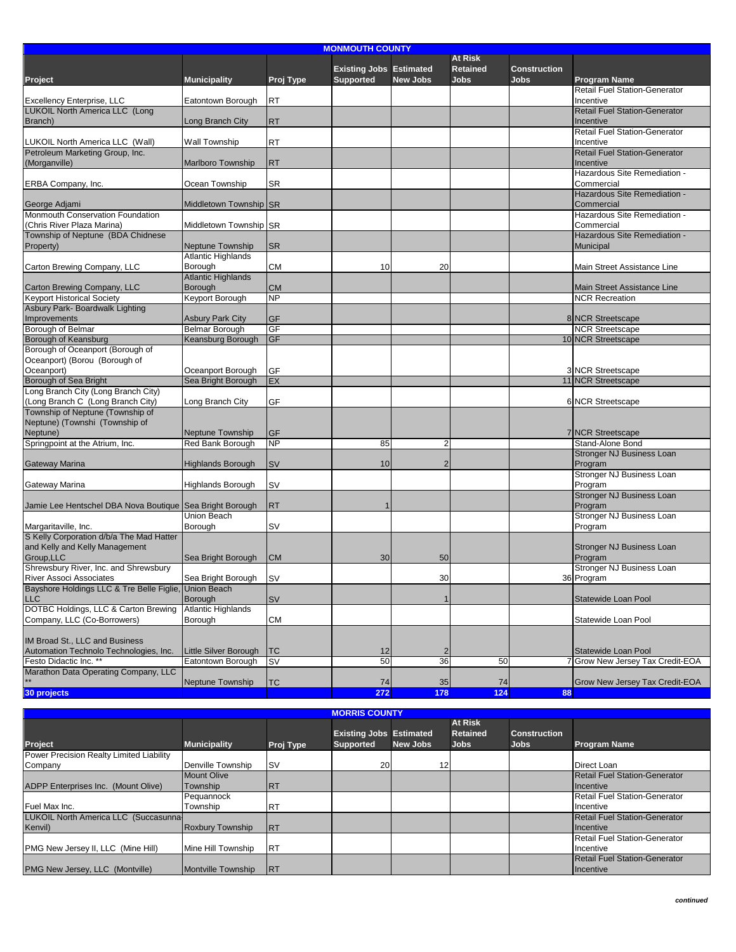| <b>MONMOUTH COUNTY</b>                                   |                           |           |                                |                         |                 |                     |                                      |  |  |
|----------------------------------------------------------|---------------------------|-----------|--------------------------------|-------------------------|-----------------|---------------------|--------------------------------------|--|--|
|                                                          |                           |           |                                |                         | At Risk         |                     |                                      |  |  |
|                                                          |                           |           | <b>Existing Jobs Estimated</b> |                         | <b>Retained</b> | <b>Construction</b> |                                      |  |  |
| Project                                                  | <b>Municipality</b>       | Proj Type | <b>Supported</b>               | <b>New Jobs</b>         | <b>Jobs</b>     | <b>Jobs</b>         | <b>Program Name</b>                  |  |  |
|                                                          |                           |           |                                |                         |                 |                     | <b>Retail Fuel Station-Generator</b> |  |  |
| <b>Excellency Enterprise, LLC</b>                        | Eatontown Borough         | RT        |                                |                         |                 |                     | Incentive                            |  |  |
| LUKOIL North America LLC (Long                           |                           |           |                                |                         |                 |                     | <b>Retail Fuel Station-Generator</b> |  |  |
|                                                          |                           |           |                                |                         |                 |                     |                                      |  |  |
| Branch)                                                  | Long Branch City          | <b>RT</b> |                                |                         |                 |                     | Incentive                            |  |  |
|                                                          |                           |           |                                |                         |                 |                     | <b>Retail Fuel Station-Generator</b> |  |  |
| LUKOIL North America LLC (Wall)                          | Wall Township             | <b>RT</b> |                                |                         |                 |                     | Incentive                            |  |  |
| Petroleum Marketing Group, Inc.                          |                           |           |                                |                         |                 |                     | <b>Retail Fuel Station-Generator</b> |  |  |
| (Morganville)                                            | <b>Marlboro Township</b>  | <b>RT</b> |                                |                         |                 |                     | Incentive                            |  |  |
|                                                          |                           |           |                                |                         |                 |                     | Hazardous Site Remediation -         |  |  |
| ERBA Company, Inc.                                       | Ocean Township            | SR        |                                |                         |                 |                     | Commercial                           |  |  |
|                                                          |                           |           |                                |                         |                 |                     | Hazardous Site Remediation -         |  |  |
| George Adjami                                            | Middletown Township SR    |           |                                |                         |                 |                     | Commercial                           |  |  |
| Monmouth Conservation Foundation                         |                           |           |                                |                         |                 |                     | Hazardous Site Remediation -         |  |  |
| (Chris River Plaza Marina)                               | Middletown Township SR    |           |                                |                         |                 |                     | Commercial                           |  |  |
| Township of Neptune (BDA Chidnese                        |                           |           |                                |                         |                 |                     | Hazardous Site Remediation -         |  |  |
| Property)                                                | <b>Neptune Township</b>   | <b>SR</b> |                                |                         |                 |                     | Municipal                            |  |  |
|                                                          | <b>Atlantic Highlands</b> |           |                                |                         |                 |                     |                                      |  |  |
| Carton Brewing Company, LLC                              | Borough                   | СM        | 10                             | 20                      |                 |                     | Main Street Assistance Line          |  |  |
|                                                          | <b>Atlantic Highlands</b> |           |                                |                         |                 |                     |                                      |  |  |
| Carton Brewing Company, LLC                              | Borough                   | <b>CM</b> |                                |                         |                 |                     | Main Street Assistance Line          |  |  |
| <b>Keyport Historical Society</b>                        | Keyport Borough           | <b>NP</b> |                                |                         |                 |                     | <b>NCR Recreation</b>                |  |  |
| Asbury Park- Boardwalk Lighting                          |                           |           |                                |                         |                 |                     |                                      |  |  |
| Improvements                                             | <b>Asbury Park City</b>   | <b>GF</b> |                                |                         |                 |                     | 8 NCR Streetscape                    |  |  |
| Borough of Belmar                                        | <b>Belmar Borough</b>     | GF        |                                |                         |                 |                     | <b>NCR Streetscape</b>               |  |  |
|                                                          |                           | <b>GF</b> |                                |                         |                 |                     |                                      |  |  |
| Borough of Keansburg                                     | Keansburg Borough         |           |                                |                         |                 |                     | 10 NCR Streetscape                   |  |  |
| Borough of Oceanport (Borough of                         |                           |           |                                |                         |                 |                     |                                      |  |  |
| Oceanport) (Borou (Borough of                            |                           |           |                                |                         |                 |                     |                                      |  |  |
| Oceanport)                                               | Oceanport Borough         | GF        |                                |                         |                 |                     | 3 NCR Streetscape                    |  |  |
| Borough of Sea Bright                                    | Sea Bright Borough        | EX        |                                |                         |                 |                     | 11 NCR Streetscape                   |  |  |
| Long Branch City (Long Branch City)                      |                           |           |                                |                         |                 |                     |                                      |  |  |
| (Long Branch C (Long Branch City)                        | Long Branch City          | GF        |                                |                         |                 |                     | 6 NCR Streetscape                    |  |  |
| Township of Neptune (Township of                         |                           |           |                                |                         |                 |                     |                                      |  |  |
| Neptune) (Townshi (Township of                           |                           |           |                                |                         |                 |                     |                                      |  |  |
| Neptune)                                                 | <b>Neptune Township</b>   | GF        |                                |                         |                 |                     | 7 NCR Streetscape                    |  |  |
| Springpoint at the Atrium, Inc.                          | Red Bank Borough          | <b>NP</b> | 85                             | 2                       |                 |                     | Stand-Alone Bond                     |  |  |
|                                                          |                           |           |                                |                         |                 |                     | <b>Stronger NJ Business Loan</b>     |  |  |
| Gateway Marina                                           | <b>Highlands Borough</b>  | <b>SV</b> | 10                             | $\overline{2}$          |                 |                     | Program                              |  |  |
|                                                          |                           |           |                                |                         |                 |                     | Stronger NJ Business Loan            |  |  |
| Gateway Marina                                           | <b>Highlands Borough</b>  | SV        |                                |                         |                 |                     | Program                              |  |  |
|                                                          |                           |           |                                |                         |                 |                     | <b>Stronger NJ Business Loan</b>     |  |  |
| Jamie Lee Hentschel DBA Nova Boutique Sea Bright Borough |                           | <b>RT</b> |                                |                         |                 |                     | Program                              |  |  |
|                                                          | Union Beach               |           |                                |                         |                 |                     | Stronger NJ Business Loan            |  |  |
| Margaritaville, Inc.                                     | Borough                   | SV        |                                |                         |                 |                     | Program                              |  |  |
| S Kelly Corporation d/b/a The Mad Hatter                 |                           |           |                                |                         |                 |                     |                                      |  |  |
| and Kelly and Kelly Management                           |                           |           |                                |                         |                 |                     | Stronger NJ Business Loan            |  |  |
| Group.LLC                                                |                           |           |                                |                         |                 |                     |                                      |  |  |
|                                                          | Sea Bright Borough        | <b>CM</b> | 30                             | 50                      |                 |                     | Program                              |  |  |
| Shrewsbury River, Inc. and Shrewsbury                    |                           |           |                                |                         |                 |                     | Stronger NJ Business Loan            |  |  |
| River Associ Associates                                  | Sea Bright Borough        | <b>SV</b> |                                | 30                      |                 |                     | 36 Program                           |  |  |
| Bayshore Holdings LLC & Tre Belle Figlie, Union Beach    |                           |           |                                |                         |                 |                     |                                      |  |  |
| <b>LLC</b>                                               | Borough                   | SV        |                                |                         |                 |                     | Statewide Loan Pool                  |  |  |
| DOTBC Holdings, LLC & Carton Brewing                     | <b>Atlantic Highlands</b> |           |                                |                         |                 |                     |                                      |  |  |
| Company, LLC (Co-Borrowers)                              | Borough                   | <b>CM</b> |                                |                         |                 |                     | Statewide Loan Pool                  |  |  |
|                                                          |                           |           |                                |                         |                 |                     |                                      |  |  |
| IM Broad St., LLC and Business                           |                           |           |                                |                         |                 |                     |                                      |  |  |
| Automation Technolo Technologies, Inc.                   | Little Silver Borough     | <b>TC</b> | 12                             | $\overline{\mathbf{c}}$ |                 |                     | Statewide Loan Pool                  |  |  |
| Festo Didactic Inc. *                                    | Eatontown Borough         | SV        | 50                             | 36                      | 50              |                     | 7 Grow New Jersey Tax Credit-EOA     |  |  |
| Marathon Data Operating Company, LLC                     |                           |           |                                |                         |                 |                     |                                      |  |  |
|                                                          | Neptune Township          | <b>TC</b> | 74                             | 35                      | 74              |                     | Grow New Jersey Tax Credit-EOA       |  |  |
| 30 projects                                              |                           |           | 272                            | 178                     | 124             | 88                  |                                      |  |  |
|                                                          |                           |           |                                |                         |                 |                     |                                      |  |  |

| <b>MORRIS COUNTY</b>                     |                           |            |                                |                 |                 |                     |                                      |  |  |  |
|------------------------------------------|---------------------------|------------|--------------------------------|-----------------|-----------------|---------------------|--------------------------------------|--|--|--|
|                                          |                           |            |                                |                 | <b>At Risk</b>  |                     |                                      |  |  |  |
|                                          |                           |            | <b>Existing Jobs Estimated</b> |                 | <b>Retained</b> | <b>Construction</b> |                                      |  |  |  |
| Project                                  | <b>Municipality</b>       | Proj Type  | <b>Supported</b>               | <b>New Jobs</b> | <b>Jobs</b>     | <b>Jobs</b>         | <b>Program Name</b>                  |  |  |  |
| Power Precision Realty Limited Liability |                           |            |                                |                 |                 |                     |                                      |  |  |  |
| Company                                  | Denville Township         | <b>ISV</b> | 20                             | 12              |                 |                     | Direct Loan                          |  |  |  |
|                                          | <b>Mount Olive</b>        |            |                                |                 |                 |                     | <b>Retail Fuel Station-Generator</b> |  |  |  |
| ADPP Enterprises Inc. (Mount Olive)      | Township                  | <b>IRT</b> |                                |                 |                 |                     | <b>Incentive</b>                     |  |  |  |
|                                          | Pequannock                |            |                                |                 |                 |                     | <b>Retail Fuel Station-Generator</b> |  |  |  |
| Fuel Max Inc.                            | Township                  | <b>RT</b>  |                                |                 |                 |                     | Incentive                            |  |  |  |
| LUKOIL North America LLC (Succasunna-    |                           |            |                                |                 |                 |                     | <b>Retail Fuel Station-Generator</b> |  |  |  |
| Kenvil)                                  | <b>Roxbury Township</b>   | <b>IRT</b> |                                |                 |                 |                     | <b>Incentive</b>                     |  |  |  |
|                                          |                           |            |                                |                 |                 |                     | <b>Retail Fuel Station-Generator</b> |  |  |  |
| PMG New Jersey II, LLC (Mine Hill)       | Mine Hill Township        | <b>RT</b>  |                                |                 |                 |                     | Incentive                            |  |  |  |
|                                          |                           |            |                                |                 |                 |                     | <b>Retail Fuel Station-Generator</b> |  |  |  |
| PMG New Jersey, LLC (Montville)          | <b>Montville Township</b> | <b>IRT</b> |                                |                 |                 |                     | <b>Incentive</b>                     |  |  |  |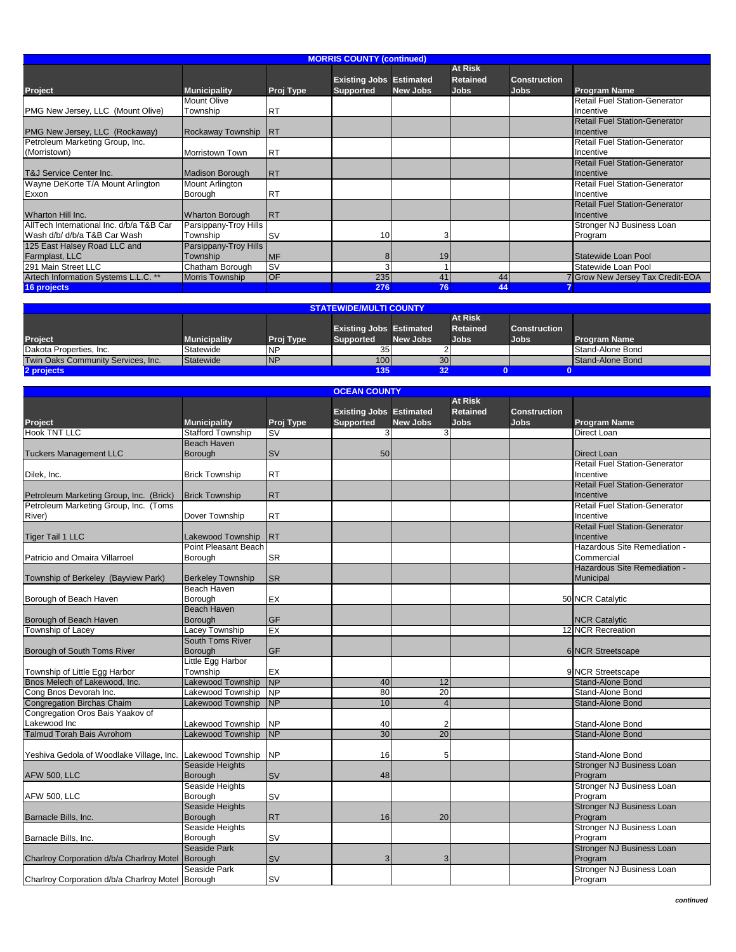|                                          |                        |            | <b>MORRIS COUNTY (continued)</b> |                 |                 |                     |                                      |
|------------------------------------------|------------------------|------------|----------------------------------|-----------------|-----------------|---------------------|--------------------------------------|
|                                          |                        |            |                                  |                 | <b>At Risk</b>  |                     |                                      |
|                                          |                        |            | <b>Existing Jobs Estimated</b>   |                 | <b>Retained</b> | <b>Construction</b> |                                      |
| <b>Project</b>                           | <b>Municipality</b>    | Proj Type  | <b>Supported</b>                 | <b>New Jobs</b> | <b>Jobs</b>     | <b>Jobs</b>         | <b>Program Name</b>                  |
|                                          | Mount Olive            |            |                                  |                 |                 |                     | <b>Retail Fuel Station-Generator</b> |
| PMG New Jersey, LLC (Mount Olive)        | Township               | <b>RT</b>  |                                  |                 |                 |                     | Incentive                            |
|                                          |                        |            |                                  |                 |                 |                     | <b>Retail Fuel Station-Generator</b> |
| PMG New Jersey, LLC (Rockaway)           | Rockaway Township      | <b>IRT</b> |                                  |                 |                 |                     | Incentive                            |
| Petroleum Marketing Group, Inc.          |                        |            |                                  |                 |                 |                     | <b>Retail Fuel Station-Generator</b> |
| (Morristown)                             | Morristown Town        | <b>RT</b>  |                                  |                 |                 |                     | Incentive                            |
|                                          |                        |            |                                  |                 |                 |                     | <b>Retail Fuel Station-Generator</b> |
| T&J Service Center Inc.                  | Madison Borough        | <b>RT</b>  |                                  |                 |                 |                     | <b>Incentive</b>                     |
| Wayne DeKorte T/A Mount Arlington        | Mount Arlington        |            |                                  |                 |                 |                     | <b>Retail Fuel Station-Generator</b> |
| Exxon                                    | Borough                | <b>RT</b>  |                                  |                 |                 |                     | Incentive                            |
|                                          |                        |            |                                  |                 |                 |                     | <b>Retail Fuel Station-Generator</b> |
| Wharton Hill Inc.                        | <b>Wharton Borough</b> | <b>IRT</b> |                                  |                 |                 |                     | <b>Incentive</b>                     |
| AllTech International Inc. d/b/a T&B Car | Parsippany-Troy Hills  |            |                                  |                 |                 |                     | Stronger NJ Business Loan            |
| Wash d/b/ d/b/a T&B Car Wash             | Township               | <b>SV</b>  | 10 <sup>1</sup>                  | 3               |                 |                     | Program                              |
| 125 East Halsey Road LLC and             | Parsippany-Troy Hills  |            |                                  |                 |                 |                     |                                      |
| Farmplast, LLC                           | Township               | <b>MF</b>  |                                  | 19              |                 |                     | Statewide Loan Pool                  |
| 291 Main Street LLC                      | Chatham Borough        | <b>SV</b>  | 3                                |                 |                 |                     | Statewide Loan Pool                  |
| Artech Information Systems L.L.C. **     | Morris Township        | <b>OF</b>  | 235                              | 41              | 44              |                     | Grow New Jersey Tax Credit-EOA       |
| 16 projects                              |                        |            | 276                              | 76              | 44              |                     |                                      |

| <b>STATEWIDE/MULTI COUNTY</b>      |                     |            |                                |                 |                 |                     |                     |  |  |  |
|------------------------------------|---------------------|------------|--------------------------------|-----------------|-----------------|---------------------|---------------------|--|--|--|
|                                    |                     |            |                                |                 | <b>At Risk</b>  |                     |                     |  |  |  |
|                                    |                     |            | <b>Existing Jobs Estimated</b> |                 | <b>Retained</b> | <b>Construction</b> |                     |  |  |  |
| <b>Project</b>                     | <b>Municipality</b> | Proj Type  | <b>Supported</b>               | <b>New Jobs</b> | Jobs.           | Jobs.               | <b>Program Name</b> |  |  |  |
| Dakota Properties, Inc.            | Statewide           | <b>NP</b>  | 35 <sub>1</sub>                |                 |                 |                     | Stand-Alone Bond    |  |  |  |
| Twin Oaks Community Services, Inc. | Statewide           | <b>INP</b> | 100 <sub>l</sub>               | 30 <sub>l</sub> |                 |                     | Stand-Alone Bond    |  |  |  |
| 2 projects                         |                     |            | 135<br>32                      |                 |                 |                     |                     |  |  |  |

| <b>OCEAN COUNTY</b>                                        |                          |           |                                |                 |                 |                     |                                      |  |  |  |
|------------------------------------------------------------|--------------------------|-----------|--------------------------------|-----------------|-----------------|---------------------|--------------------------------------|--|--|--|
|                                                            |                          |           |                                |                 | <b>At Risk</b>  |                     |                                      |  |  |  |
|                                                            |                          |           | <b>Existing Jobs Estimated</b> |                 | <b>Retained</b> | <b>Construction</b> |                                      |  |  |  |
| Project                                                    | <b>Municipality</b>      | Proj Type | <b>Supported</b>               | <b>New Jobs</b> | Jobs            | <b>Jobs</b>         | <b>Program Name</b>                  |  |  |  |
| <b>Hook TNT LLC</b>                                        | <b>Stafford Township</b> | SV        | 3                              | 3               |                 |                     | Direct Loan                          |  |  |  |
|                                                            | <b>Beach Haven</b>       |           |                                |                 |                 |                     |                                      |  |  |  |
|                                                            |                          |           |                                |                 |                 |                     |                                      |  |  |  |
| <b>Tuckers Management LLC</b>                              | <b>Borough</b>           | <b>SV</b> | 50                             |                 |                 |                     | Direct Loan                          |  |  |  |
|                                                            |                          |           |                                |                 |                 |                     | <b>Retail Fuel Station-Generator</b> |  |  |  |
| Dilek, Inc.                                                | <b>Brick Township</b>    | <b>RT</b> |                                |                 |                 |                     | Incentive                            |  |  |  |
|                                                            |                          |           |                                |                 |                 |                     | <b>Retail Fuel Station-Generator</b> |  |  |  |
| Petroleum Marketing Group, Inc. (Brick)                    | <b>Brick Township</b>    | <b>RT</b> |                                |                 |                 |                     | Incentive                            |  |  |  |
| Petroleum Marketing Group, Inc. (Toms                      |                          |           |                                |                 |                 |                     | <b>Retail Fuel Station-Generator</b> |  |  |  |
| River)                                                     | Dover Township           | <b>RT</b> |                                |                 |                 |                     | Incentive                            |  |  |  |
|                                                            |                          |           |                                |                 |                 |                     | <b>Retail Fuel Station-Generator</b> |  |  |  |
| <b>Tiger Tail 1 LLC</b>                                    | Lakewood Township        | <b>RT</b> |                                |                 |                 |                     | Incentive                            |  |  |  |
|                                                            | Point Pleasant Beach     |           |                                |                 |                 |                     | Hazardous Site Remediation -         |  |  |  |
|                                                            |                          |           |                                |                 |                 |                     |                                      |  |  |  |
| Patricio and Omaira Villarroel                             | Borough                  | <b>SR</b> |                                |                 |                 |                     | Commercial                           |  |  |  |
|                                                            |                          |           |                                |                 |                 |                     | Hazardous Site Remediation -         |  |  |  |
| Township of Berkeley (Bayview Park)                        | <b>Berkeley Township</b> | <b>SR</b> |                                |                 |                 |                     | Municipal                            |  |  |  |
|                                                            | <b>Beach Haven</b>       |           |                                |                 |                 |                     |                                      |  |  |  |
| Borough of Beach Haven                                     | Borough                  | EX        |                                |                 |                 |                     | 50 NCR Catalytic                     |  |  |  |
|                                                            | <b>Beach Haven</b>       |           |                                |                 |                 |                     |                                      |  |  |  |
| Borough of Beach Haven                                     | Borough                  | GF        |                                |                 |                 |                     | <b>NCR Catalytic</b>                 |  |  |  |
| <b>Township of Lacey</b>                                   | Lacey Township           | EX        |                                |                 |                 |                     | 12 NCR Recreation                    |  |  |  |
|                                                            | South Toms River         |           |                                |                 |                 |                     |                                      |  |  |  |
| Borough of South Toms River                                | Borough                  | <b>GF</b> |                                |                 |                 |                     | 6 NCR Streetscape                    |  |  |  |
|                                                            | Little Egg Harbor        |           |                                |                 |                 |                     |                                      |  |  |  |
|                                                            |                          |           |                                |                 |                 |                     |                                      |  |  |  |
| Township of Little Egg Harbor                              | Township                 | EX        |                                |                 |                 |                     | 9 NCR Streetscape                    |  |  |  |
| Bnos Melech of Lakewood, Inc.                              | <b>Lakewood Township</b> | <b>NP</b> | 40                             | 12              |                 |                     | Stand-Alone Bond                     |  |  |  |
| Cong Bnos Devorah Inc.                                     | Lakewood Township        | <b>NP</b> | 80                             | 20              |                 |                     | Stand-Alone Bond                     |  |  |  |
| <b>Congregation Birchas Chaim</b>                          | <b>Lakewood Township</b> | <b>NP</b> | 10                             | $\overline{4}$  |                 |                     | Stand-Alone Bond                     |  |  |  |
| Congregation Oros Bais Yaakov of                           |                          |           |                                |                 |                 |                     |                                      |  |  |  |
| Lakewood Inc                                               | Lakewood Township        | <b>NP</b> | 40                             | 2               |                 |                     | Stand-Alone Bond                     |  |  |  |
| <b>Talmud Torah Bais Avrohom</b>                           | Lakewood Township        | NP        | 30                             | 20              |                 |                     | Stand-Alone Bond                     |  |  |  |
|                                                            |                          |           |                                |                 |                 |                     |                                      |  |  |  |
| Yeshiva Gedola of Woodlake Village, Inc. Lakewood Township |                          | <b>NP</b> | 16                             | 5               |                 |                     | Stand-Alone Bond                     |  |  |  |
|                                                            | Seaside Heights          |           |                                |                 |                 |                     | <b>Stronger NJ Business Loan</b>     |  |  |  |
| <b>AFW 500, LLC</b>                                        | Borough                  | <b>SV</b> | 48                             |                 |                 |                     | Program                              |  |  |  |
|                                                            | Seaside Heights          |           |                                |                 |                 |                     | Stronger NJ Business Loan            |  |  |  |
|                                                            |                          |           |                                |                 |                 |                     |                                      |  |  |  |
| <b>AFW 500, LLC</b>                                        | Borough                  | <b>SV</b> |                                |                 |                 |                     | Program                              |  |  |  |
|                                                            | Seaside Heights          |           |                                |                 |                 |                     | <b>Stronger NJ Business Loan</b>     |  |  |  |
| Barnacle Bills, Inc.                                       | <b>Borough</b>           | <b>RT</b> | 16                             | 20              |                 |                     | Program                              |  |  |  |
|                                                            | Seaside Heights          |           |                                |                 |                 |                     | Stronger NJ Business Loan            |  |  |  |
| Barnacle Bills, Inc.                                       | Borough                  | <b>SV</b> |                                |                 |                 |                     | Program                              |  |  |  |
|                                                            | Seaside Park             |           |                                |                 |                 |                     | <b>Stronger NJ Business Loan</b>     |  |  |  |
| Charlroy Corporation d/b/a Charlroy Motel Borough          |                          | <b>SV</b> | 3                              | 3               |                 |                     | Program                              |  |  |  |
|                                                            | Seaside Park             |           |                                |                 |                 |                     | Stronger NJ Business Loan            |  |  |  |
| Charlroy Corporation d/b/a Charlroy Motel Borough          |                          | <b>SV</b> |                                |                 |                 |                     | Program                              |  |  |  |
|                                                            |                          |           |                                |                 |                 |                     |                                      |  |  |  |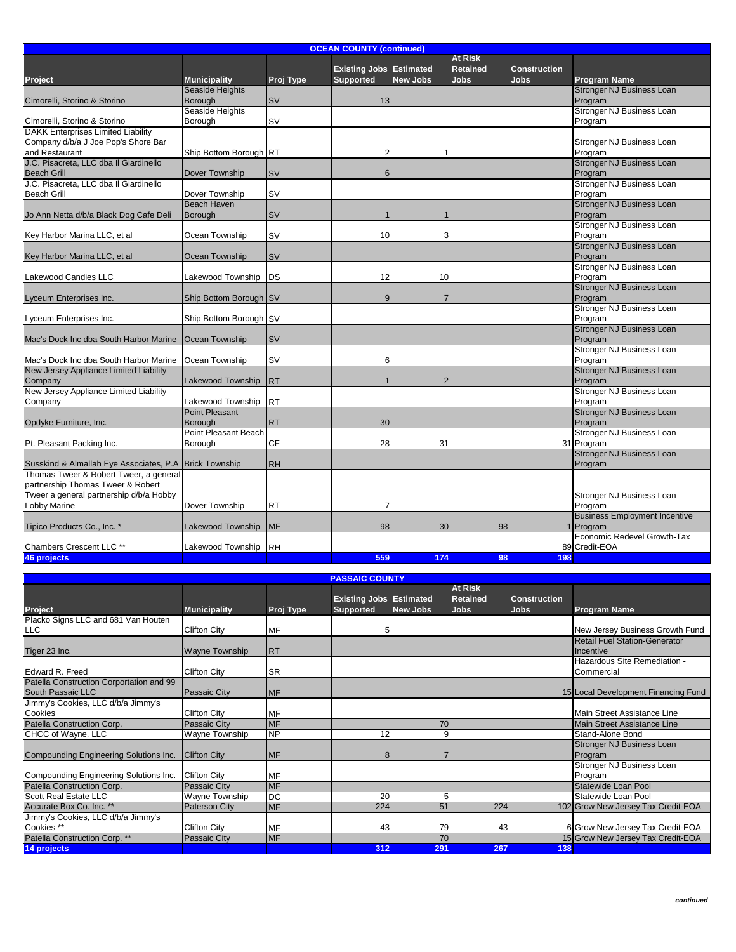|                                                         | <b>OCEAN COUNTY (continued)</b> |           |                                |                          |                 |                     |                                      |  |  |  |
|---------------------------------------------------------|---------------------------------|-----------|--------------------------------|--------------------------|-----------------|---------------------|--------------------------------------|--|--|--|
|                                                         |                                 |           |                                |                          | <b>At Risk</b>  |                     |                                      |  |  |  |
|                                                         |                                 |           | <b>Existing Jobs Estimated</b> |                          | <b>Retained</b> | <b>Construction</b> |                                      |  |  |  |
| <b>Project</b>                                          | <b>Municipality</b>             | Proj Type | <b>Supported</b>               | <b>New Jobs</b>          | <b>Jobs</b>     | <b>Jobs</b>         | <b>Program Name</b>                  |  |  |  |
|                                                         | Seaside Heights                 |           |                                |                          |                 |                     | <b>Stronger NJ Business Loan</b>     |  |  |  |
| Cimorelli, Storino & Storino                            | Borough                         | <b>SV</b> | 13                             |                          |                 |                     | Program                              |  |  |  |
|                                                         | Seaside Heights                 |           |                                |                          |                 |                     | Stronger NJ Business Loan            |  |  |  |
| Cimorelli, Storino & Storino                            | Borough                         | <b>SV</b> |                                |                          |                 |                     | Program                              |  |  |  |
| <b>DAKK Enterprises Limited Liability</b>               |                                 |           |                                |                          |                 |                     |                                      |  |  |  |
| Company d/b/a J Joe Pop's Shore Bar                     |                                 |           |                                |                          |                 |                     | Stronger NJ Business Loan            |  |  |  |
| and Restaurant                                          | Ship Bottom Borough RT          |           | 2                              |                          |                 |                     | Program                              |  |  |  |
| J.C. Pisacreta, LLC dba II Giardinello                  |                                 |           |                                |                          |                 |                     | <b>Stronger NJ Business Loan</b>     |  |  |  |
| <b>Beach Grill</b>                                      | Dover Township                  | <b>SV</b> | 6                              |                          |                 |                     | Program                              |  |  |  |
| J.C. Pisacreta, LLC dba Il Giardinello                  |                                 |           |                                |                          |                 |                     | Stronger NJ Business Loan            |  |  |  |
| <b>Beach Grill</b>                                      | Dover Township                  | <b>SV</b> |                                |                          |                 |                     | Program                              |  |  |  |
|                                                         | <b>Beach Haven</b>              |           |                                |                          |                 |                     | <b>Stronger NJ Business Loan</b>     |  |  |  |
| Jo Ann Netta d/b/a Black Dog Cafe Deli                  | Borough                         | <b>SV</b> | $\overline{1}$                 |                          |                 |                     | Program                              |  |  |  |
|                                                         |                                 |           |                                |                          |                 |                     | Stronger NJ Business Loan            |  |  |  |
| Key Harbor Marina LLC, et al                            | Ocean Township                  | <b>SV</b> | 10                             | 3                        |                 |                     | Program                              |  |  |  |
|                                                         |                                 |           |                                |                          |                 |                     | <b>Stronger NJ Business Loan</b>     |  |  |  |
| Key Harbor Marina LLC, et al                            | Ocean Township                  | <b>SV</b> |                                |                          |                 |                     | Program                              |  |  |  |
|                                                         |                                 |           |                                |                          |                 |                     | Stronger NJ Business Loan            |  |  |  |
| Lakewood Candies LLC                                    | Lakewood Township               | <b>DS</b> | 12                             | 10                       |                 |                     | Program                              |  |  |  |
|                                                         |                                 |           |                                |                          |                 |                     | <b>Stronger NJ Business Loan</b>     |  |  |  |
| Lyceum Enterprises Inc.                                 | Ship Bottom Borough SV          |           | 9                              | 7                        |                 |                     | Program                              |  |  |  |
|                                                         |                                 |           |                                |                          |                 |                     | Stronger NJ Business Loan            |  |  |  |
| Lyceum Enterprises Inc.                                 | Ship Bottom Borough SV          |           |                                |                          |                 |                     | Program                              |  |  |  |
|                                                         |                                 |           |                                |                          |                 |                     | Stronger NJ Business Loan            |  |  |  |
| Mac's Dock Inc dba South Harbor Marine                  | Ocean Township                  | <b>SV</b> |                                |                          |                 |                     | Program                              |  |  |  |
|                                                         |                                 |           |                                |                          |                 |                     | Stronger NJ Business Loan            |  |  |  |
| Mac's Dock Inc dba South Harbor Marine   Ocean Township |                                 | <b>SV</b> | 6                              |                          |                 |                     | Program                              |  |  |  |
| New Jersey Appliance Limited Liability                  |                                 |           |                                |                          |                 |                     | <b>Stronger NJ Business Loan</b>     |  |  |  |
| Company                                                 | Lakewood Township               | <b>RT</b> | $\overline{1}$                 | $\overline{\phantom{0}}$ |                 |                     | Program                              |  |  |  |
| New Jersey Appliance Limited Liability                  |                                 |           |                                |                          |                 |                     | Stronger NJ Business Loan            |  |  |  |
| Company                                                 | Lakewood Township               | <b>RT</b> |                                |                          |                 |                     | Program                              |  |  |  |
|                                                         | <b>Point Pleasant</b>           |           |                                |                          |                 |                     | <b>Stronger NJ Business Loan</b>     |  |  |  |
| Opdyke Furniture, Inc.                                  | <b>Borough</b>                  | <b>RT</b> | 30                             |                          |                 |                     | Program                              |  |  |  |
|                                                         | Point Pleasant Beach            |           |                                |                          |                 |                     | Stronger NJ Business Loan            |  |  |  |
| Pt. Pleasant Packing Inc.                               | Borough                         | <b>CF</b> | 28                             | 31                       |                 |                     | 31 Program                           |  |  |  |
|                                                         |                                 |           |                                |                          |                 |                     | <b>Stronger NJ Business Loan</b>     |  |  |  |
| Susskind & Almallah Eye Associates, P.A.                | <b>Brick Township</b>           | <b>RH</b> |                                |                          |                 |                     | Program                              |  |  |  |
| Thomas Tweer & Robert Tweer, a general                  |                                 |           |                                |                          |                 |                     |                                      |  |  |  |
| partnership Thomas Tweer & Robert                       |                                 |           |                                |                          |                 |                     |                                      |  |  |  |
| Tweer a general partnership d/b/a Hobby                 |                                 |           |                                |                          |                 |                     | Stronger NJ Business Loan            |  |  |  |
| Lobby Marine                                            | Dover Township                  | <b>RT</b> | 7                              |                          |                 |                     | Program                              |  |  |  |
|                                                         |                                 |           |                                |                          |                 |                     | <b>Business Employment Incentive</b> |  |  |  |
| Tipico Products Co., Inc. *                             | <b>Lakewood Township</b>        | <b>MF</b> | 98                             | 30                       | 98              |                     | Program                              |  |  |  |
|                                                         |                                 |           |                                |                          |                 |                     | Economic Redevel Growth-Tax          |  |  |  |
| Chambers Crescent LLC **                                | Lakewood Township               | <b>RH</b> |                                |                          |                 |                     | 89 Credit-EOA                        |  |  |  |
| 46 projects                                             |                                 |           | 559                            | 174                      | 98              | 198                 |                                      |  |  |  |

|                                          | <b>PASSAIC COUNTY</b> |            |                                |                 |                 |                     |                                      |  |  |  |  |
|------------------------------------------|-----------------------|------------|--------------------------------|-----------------|-----------------|---------------------|--------------------------------------|--|--|--|--|
|                                          |                       |            |                                |                 | <b>At Risk</b>  |                     |                                      |  |  |  |  |
|                                          |                       |            | <b>Existing Jobs Estimated</b> |                 | <b>Retained</b> | <b>Construction</b> |                                      |  |  |  |  |
| Project                                  | <b>Municipality</b>   | Proj Type  | <b>Supported</b>               | <b>New Jobs</b> | <b>Jobs</b>     | <b>Jobs</b>         | <b>Program Name</b>                  |  |  |  |  |
| Placko Signs LLC and 681 Van Houten      |                       |            |                                |                 |                 |                     |                                      |  |  |  |  |
| <b>LLC</b>                               | <b>Clifton City</b>   | <b>MF</b>  | 5                              |                 |                 |                     | New Jersey Business Growth Fund      |  |  |  |  |
|                                          |                       |            |                                |                 |                 |                     | <b>Retail Fuel Station-Generator</b> |  |  |  |  |
| Tiger 23 Inc.                            | <b>Wayne Township</b> | <b>IRT</b> |                                |                 |                 |                     | Incentive                            |  |  |  |  |
|                                          |                       |            |                                |                 |                 |                     | Hazardous Site Remediation -         |  |  |  |  |
| Edward R. Freed                          | <b>Clifton City</b>   | <b>SR</b>  |                                |                 |                 |                     | Commercial                           |  |  |  |  |
| Patella Construction Corportation and 99 |                       |            |                                |                 |                 |                     |                                      |  |  |  |  |
| South Passaic LLC                        | Passaic City          | <b>IMF</b> |                                |                 |                 |                     | 15 Local Development Financing Fund  |  |  |  |  |
| Jimmy's Cookies, LLC d/b/a Jimmy's       |                       |            |                                |                 |                 |                     |                                      |  |  |  |  |
| Cookies                                  | <b>Clifton City</b>   | <b>MF</b>  |                                |                 |                 |                     | Main Street Assistance Line          |  |  |  |  |
| Patella Construction Corp.               | <b>Passaic City</b>   | <b>IMF</b> |                                | 70              |                 |                     | Main Street Assistance Line          |  |  |  |  |
| CHCC of Wayne, LLC                       | Wayne Township        | <b>NP</b>  | $\overline{12}$                | ٩               |                 |                     | Stand-Alone Bond                     |  |  |  |  |
|                                          |                       |            |                                |                 |                 |                     | Stronger NJ Business Loan            |  |  |  |  |
| Compounding Engineering Solutions Inc.   | <b>Clifton City</b>   | <b>IMF</b> | 8                              |                 |                 |                     | Program                              |  |  |  |  |
|                                          |                       |            |                                |                 |                 |                     | Stronger NJ Business Loan            |  |  |  |  |
| Compounding Engineering Solutions Inc.   | <b>Clifton City</b>   | <b>MF</b>  |                                |                 |                 |                     | Program                              |  |  |  |  |
| Patella Construction Corp.               | Passaic City          | <b>IMF</b> |                                |                 |                 |                     | Statewide Loan Pool                  |  |  |  |  |
| <b>Scott Real Estate LLC</b>             | Wayne Township        | <b>DC</b>  | 20                             | 5               |                 |                     | Statewide Loan Pool                  |  |  |  |  |
| Accurate Box Co. Inc. **                 | <b>Paterson City</b>  | <b>IMF</b> | 224                            | 51              | 224             |                     | 102 Grow New Jersey Tax Credit-EOA   |  |  |  |  |
| Jimmy's Cookies, LLC d/b/a Jimmy's       |                       |            |                                |                 |                 |                     |                                      |  |  |  |  |
| Cookies **                               | <b>Clifton City</b>   | <b>MF</b>  | 43                             | 79              | 43              |                     | 6 Grow New Jersey Tax Credit-EOA     |  |  |  |  |
| Patella Construction Corp. **            | <b>Passaic City</b>   | <b>IMF</b> |                                | 70              |                 |                     | 15 Grow New Jersey Tax Credit-EOA    |  |  |  |  |
| 14 projects                              |                       |            | 312                            | 291             | 267             | 138                 |                                      |  |  |  |  |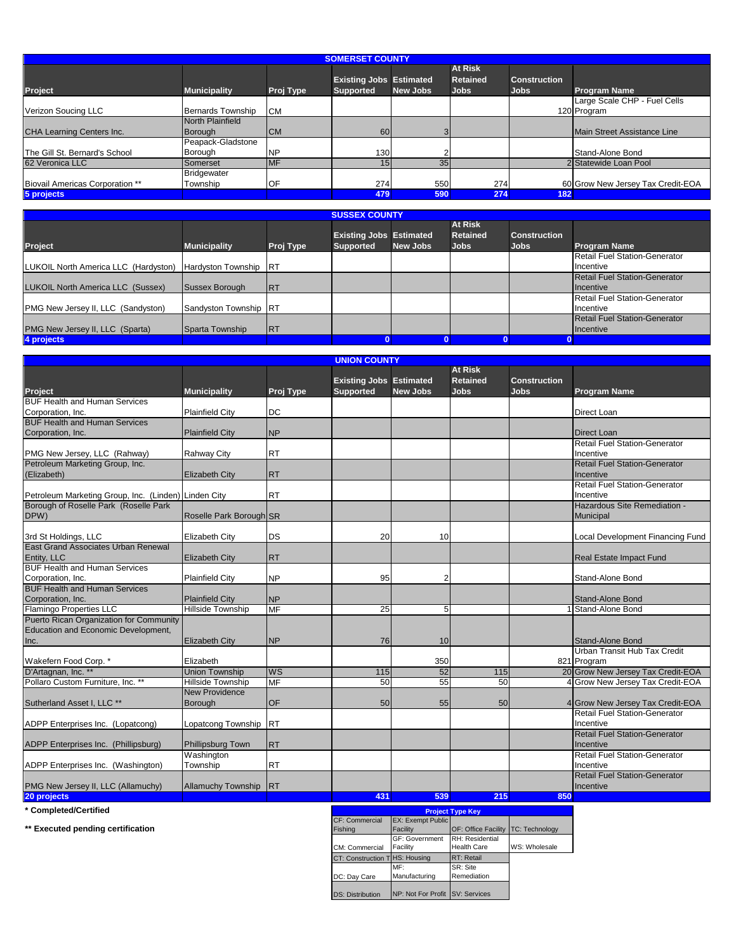|                                                      | <b>SOMERSET COUNTY</b>         |            |                                                    |                 |                                                  |                                    |                                             |  |  |  |
|------------------------------------------------------|--------------------------------|------------|----------------------------------------------------|-----------------|--------------------------------------------------|------------------------------------|---------------------------------------------|--|--|--|
| <b>Project</b>                                       | <b>Municipality</b>            | Proj Type  | <b>Existing Jobs Estimated</b><br><b>Supported</b> | <b>New Jobs</b> | <b>At Risk</b><br><b>Retained</b><br><b>Jobs</b> | <b>Construction</b><br><b>Jobs</b> | <b>Program Name</b>                         |  |  |  |
| Verizon Soucing LLC                                  | <b>Bernards Township</b>       | <b>CM</b>  |                                                    |                 |                                                  |                                    | Large Scale CHP - Fuel Cells<br>120 Program |  |  |  |
| CHA Learning Centers Inc.                            | North Plainfield<br>Borough    | <b>CM</b>  | 60                                                 | $\mathbf{3}$    |                                                  |                                    | Main Street Assistance Line                 |  |  |  |
| The Gill St. Bernard's School                        | Peapack-Gladstone<br>Borough   | .NP        | 130                                                |                 |                                                  |                                    | Stand-Alone Bond                            |  |  |  |
| 62 Veronica LLC                                      | Somerset<br><b>Bridgewater</b> | <b>IMF</b> | 15 <sub>1</sub>                                    | 35 <sub>1</sub> |                                                  |                                    | 2 Statewide Loan Pool                       |  |  |  |
| <b>Biovail Americas Corporation **</b><br>5 projects | Township                       | IOF        | 274<br>479                                         | 550<br>590      | 274<br>274                                       | 182                                | 60 Grow New Jersey Tax Credit-EOA           |  |  |  |

|                                                            |                       |            | <b>SUSSEX COUNTY</b>           |          |                 |                     |                                      |
|------------------------------------------------------------|-----------------------|------------|--------------------------------|----------|-----------------|---------------------|--------------------------------------|
|                                                            |                       |            |                                |          | <b>At Risk</b>  |                     |                                      |
|                                                            |                       |            | <b>Existing Jobs Estimated</b> |          | <b>Retained</b> | <b>Construction</b> |                                      |
| Project                                                    | <b>Municipality</b>   | Proj Type  | <b>Supported</b>               | New Jobs | <b>Jobs</b>     | <b>Jobs</b>         | <b>Program Name</b>                  |
|                                                            |                       |            |                                |          |                 |                     | <b>Retail Fuel Station-Generator</b> |
| LUKOIL North America LLC (Hardyston) Hardyston Township RT |                       |            |                                |          |                 |                     | Incentive                            |
|                                                            |                       |            |                                |          |                 |                     | <b>Retail Fuel Station-Generator</b> |
| LUKOIL North America LLC (Sussex)                          | Sussex Borough        | <b>IRT</b> |                                |          |                 |                     | <b>Incentive</b>                     |
|                                                            |                       |            |                                |          |                 |                     | <b>Retail Fuel Station-Generator</b> |
| PMG New Jersey II, LLC (Sandyston)                         | Sandyston Township RT |            |                                |          |                 |                     | Incentive                            |
|                                                            |                       |            |                                |          |                 |                     | <b>Retail Fuel Station-Generator</b> |
| PMG New Jersey II, LLC (Sparta)                            | Sparta Township       | <b>IRT</b> |                                |          |                 |                     | <b>Incentive</b>                     |
| 4 projects                                                 |                       |            |                                |          |                 |                     |                                      |

| <b>UNION COUNTY</b>                                  |                           |            |                                |                 |                 |                     |                                      |  |
|------------------------------------------------------|---------------------------|------------|--------------------------------|-----------------|-----------------|---------------------|--------------------------------------|--|
|                                                      |                           |            |                                |                 | <b>At Risk</b>  |                     |                                      |  |
|                                                      |                           |            | <b>Existing Jobs Estimated</b> |                 | <b>Retained</b> | <b>Construction</b> |                                      |  |
| <b>Project</b>                                       | <b>Municipality</b>       | Proj Type  | <b>Supported</b>               | <b>New Jobs</b> | <b>Jobs</b>     | <b>Jobs</b>         | <b>Program Name</b>                  |  |
| <b>BUF Health and Human Services</b>                 |                           |            |                                |                 |                 |                     |                                      |  |
| Corporation, Inc.                                    | <b>Plainfield City</b>    | <b>DC</b>  |                                |                 |                 |                     | <b>Direct Loan</b>                   |  |
| <b>BUF Health and Human Services</b>                 |                           |            |                                |                 |                 |                     |                                      |  |
| Corporation, Inc.                                    | <b>Plainfield City</b>    | <b>NP</b>  |                                |                 |                 |                     | <b>Direct Loan</b>                   |  |
|                                                      |                           |            |                                |                 |                 |                     | <b>Retail Fuel Station-Generator</b> |  |
| PMG New Jersey, LLC (Rahway)                         | <b>Rahway City</b>        | <b>RT</b>  |                                |                 |                 |                     | Incentive                            |  |
| Petroleum Marketing Group, Inc.                      |                           |            |                                |                 |                 |                     | <b>Retail Fuel Station-Generator</b> |  |
| (Elizabeth)                                          | <b>Elizabeth City</b>     | <b>RT</b>  |                                |                 |                 |                     | Incentive                            |  |
|                                                      |                           |            |                                |                 |                 |                     | <b>Retail Fuel Station-Generator</b> |  |
| Petroleum Marketing Group, Inc. (Linden) Linden City |                           | <b>RT</b>  |                                |                 |                 |                     | Incentive                            |  |
| Borough of Roselle Park (Roselle Park                |                           |            |                                |                 |                 |                     | Hazardous Site Remediation -         |  |
| DPW)                                                 | Roselle Park Borough SR   |            |                                |                 |                 |                     | Municipal                            |  |
|                                                      |                           |            |                                |                 |                 |                     |                                      |  |
| 3rd St Holdings, LLC                                 | Elizabeth City            | <b>DS</b>  | 20                             | 10              |                 |                     | Local Development Financing Fund     |  |
| East Grand Associates Urban Renewal                  |                           |            |                                |                 |                 |                     |                                      |  |
| Entity, LLC                                          | <b>Elizabeth City</b>     | <b>RT</b>  |                                |                 |                 |                     | <b>Real Estate Impact Fund</b>       |  |
| <b>BUF Health and Human Services</b>                 |                           |            |                                |                 |                 |                     |                                      |  |
| Corporation, Inc.                                    | <b>Plainfield City</b>    | <b>NP</b>  | 95                             | $\overline{2}$  |                 |                     | Stand-Alone Bond                     |  |
| <b>BUF Health and Human Services</b>                 |                           |            |                                |                 |                 |                     |                                      |  |
| Corporation, Inc.                                    | <b>Plainfield City</b>    | <b>NP</b>  |                                |                 |                 |                     | <b>Stand-Alone Bond</b>              |  |
| <b>Flamingo Properties LLC</b>                       | <b>Hillside Township</b>  | <b>MF</b>  | $\overline{25}$                |                 |                 |                     | 1 Stand-Alone Bond                   |  |
|                                                      |                           |            |                                | 5               |                 |                     |                                      |  |
| Puerto Rican Organization for Community              |                           |            |                                |                 |                 |                     |                                      |  |
| Education and Economic Development,                  |                           |            |                                |                 |                 |                     |                                      |  |
| Inc.                                                 | <b>Elizabeth City</b>     | <b>NP</b>  | 76                             | 10              |                 |                     | Stand-Alone Bond                     |  |
|                                                      |                           |            |                                |                 |                 |                     | Urban Transit Hub Tax Credit         |  |
| Wakefern Food Corp. *                                | Elizabeth                 |            |                                | 350             |                 |                     | 821 Program                          |  |
| D'Artagnan, Inc. **                                  | <b>Union Township</b>     | <b>WS</b>  | 115                            | 52              | 115             |                     | 20 Grow New Jersey Tax Credit-EOA    |  |
| Pollaro Custom Furniture, Inc. **                    | <b>Hillside Township</b>  | <b>MF</b>  | 50                             | 55              | 50              |                     | 4 Grow New Jersey Tax Credit-EOA     |  |
|                                                      | <b>New Providence</b>     |            |                                |                 |                 |                     |                                      |  |
| Sutherland Asset I, LLC **                           | Borough                   | OF         | 50                             | 55              | 50              |                     | 4 Grow New Jersey Tax Credit-EOA     |  |
|                                                      |                           |            |                                |                 |                 |                     | Retail Fuel Station-Generator        |  |
| ADPP Enterprises Inc. (Lopatcong)                    | Lopatcong Township RT     |            |                                |                 |                 |                     | Incentive                            |  |
|                                                      |                           |            |                                |                 |                 |                     | <b>Retail Fuel Station-Generator</b> |  |
| ADPP Enterprises Inc. (Phillipsburg)                 | Phillipsburg Town         | <b>IRT</b> |                                |                 |                 |                     | Incentive                            |  |
|                                                      | Washington                |            |                                |                 |                 |                     | Retail Fuel Station-Generator        |  |
| ADPP Enterprises Inc. (Washington)                   | Township                  | <b>RT</b>  |                                |                 |                 |                     | Incentive                            |  |
|                                                      |                           |            |                                |                 |                 |                     | <b>Retail Fuel Station-Generator</b> |  |
| PMG New Jersey II, LLC (Allamuchy)                   | <b>Allamuchy Township</b> | <b>IRT</b> |                                |                 |                 |                     | Incentive                            |  |
| 20 projects                                          |                           |            | 431                            | 539             | 215             | 850                 |                                      |  |

 $*$  Completed/Certified

**\*\* Executed pending certification**

| <b>Project Type Key</b>       |                                      |                                       |                       |  |  |  |
|-------------------------------|--------------------------------------|---------------------------------------|-----------------------|--|--|--|
| CF: Commercial<br>Fishing     | <b>EX: Exempt Public</b><br>Facility | <b>OF: Office Facility</b>            | <b>TC: Technology</b> |  |  |  |
| CM: Commercial                | GF: Government<br>Facility           | RH: Residential<br><b>Health Care</b> | WS: Wholesale         |  |  |  |
| CT: Construction THS: Housing |                                      | RT: Retail                            |                       |  |  |  |
| DC: Day Care                  | MF:<br>Manufacturing                 | SR: Site<br>Remediation               |                       |  |  |  |
| <b>DS: Distribution</b>       | NP: Not For Profit SV: Services      |                                       |                       |  |  |  |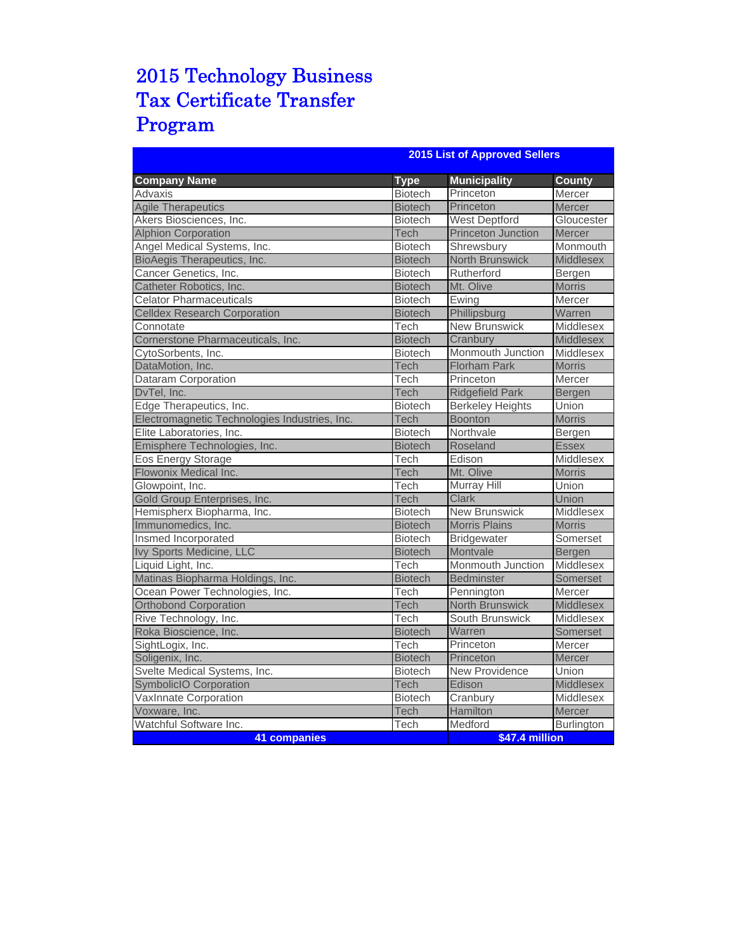# 2015 Technology Business Tax Certificate Transfer Program

|                                               | <b>2015 List of Approved Sellers</b> |                           |                  |  |  |  |  |
|-----------------------------------------------|--------------------------------------|---------------------------|------------------|--|--|--|--|
| <b>Company Name</b>                           | <b>Type</b>                          | <b>Municipality</b>       | <b>County</b>    |  |  |  |  |
| Advaxis                                       | <b>Biotech</b>                       | Princeton                 | Mercer           |  |  |  |  |
| <b>Agile Therapeutics</b>                     | <b>Biotech</b>                       | Princeton                 | <b>Mercer</b>    |  |  |  |  |
| Akers Biosciences, Inc.                       | <b>Biotech</b>                       | <b>West Deptford</b>      | Gloucester       |  |  |  |  |
| <b>Alphion Corporation</b>                    | Tech                                 | <b>Princeton Junction</b> | Mercer           |  |  |  |  |
| Angel Medical Systems, Inc.                   | <b>Biotech</b>                       | Shrewsbury                | Monmouth         |  |  |  |  |
| BioAegis Therapeutics, Inc.                   | <b>Biotech</b>                       | <b>North Brunswick</b>    | <b>Middlesex</b> |  |  |  |  |
| Cancer Genetics, Inc.                         | <b>Biotech</b>                       | Rutherford                | Bergen           |  |  |  |  |
| Catheter Robotics, Inc.                       | <b>Biotech</b>                       | Mt. Olive                 | <b>Morris</b>    |  |  |  |  |
| <b>Celator Pharmaceuticals</b>                | <b>Biotech</b>                       | Ewing                     | Mercer           |  |  |  |  |
| <b>Celldex Research Corporation</b>           | <b>Biotech</b>                       | Phillipsburg              | Warren           |  |  |  |  |
| Connotate                                     | Tech                                 | <b>New Brunswick</b>      | Middlesex        |  |  |  |  |
| Cornerstone Pharmaceuticals, Inc.             | <b>Biotech</b>                       | Cranbury                  | Middlesex        |  |  |  |  |
| CytoSorbents, Inc.                            | <b>Biotech</b>                       | Monmouth Junction         | Middlesex        |  |  |  |  |
| DataMotion, Inc.                              | Tech                                 | <b>Florham Park</b>       | <b>Morris</b>    |  |  |  |  |
| Dataram Corporation                           | Tech                                 | Princeton                 | Mercer           |  |  |  |  |
| DvTel, Inc.                                   | Tech                                 | <b>Ridgefield Park</b>    | Bergen           |  |  |  |  |
| Edge Therapeutics, Inc.                       | <b>Biotech</b>                       | <b>Berkeley Heights</b>   | Union            |  |  |  |  |
| Electromagnetic Technologies Industries, Inc. | Tech                                 | <b>Boonton</b>            | <b>Morris</b>    |  |  |  |  |
| Elite Laboratories, Inc.                      | <b>Biotech</b>                       | Northvale                 | Bergen           |  |  |  |  |
| Emisphere Technologies, Inc.                  | <b>Biotech</b>                       | Roseland                  | <b>Essex</b>     |  |  |  |  |
| Eos Energy Storage                            | Tech                                 | Edison                    | Middlesex        |  |  |  |  |
| Flowonix Medical Inc.                         | Tech                                 | Mt. Olive                 | <b>Morris</b>    |  |  |  |  |
| Glowpoint, Inc.                               | Tech                                 | <b>Murray Hill</b>        | Union            |  |  |  |  |
| Gold Group Enterprises, Inc.                  | <b>Tech</b>                          | <b>Clark</b>              | Union            |  |  |  |  |
| Hemispherx Biopharma, Inc.                    | <b>Biotech</b>                       | <b>New Brunswick</b>      | Middlesex        |  |  |  |  |
| Immunomedics, Inc.                            | <b>Biotech</b>                       | <b>Morris Plains</b>      | <b>Morris</b>    |  |  |  |  |
| Insmed Incorporated                           | <b>Biotech</b>                       | <b>Bridgewater</b>        | Somerset         |  |  |  |  |
| Ivy Sports Medicine, LLC                      | <b>Biotech</b>                       | Montvale                  | Bergen           |  |  |  |  |
| Liquid Light, Inc.                            | Tech                                 | Monmouth Junction         | Middlesex        |  |  |  |  |
| Matinas Biopharma Holdings, Inc.              | <b>Biotech</b>                       | Bedminster                | Somerset         |  |  |  |  |
| Ocean Power Technologies, Inc.                | Tech                                 | Pennington                | Mercer           |  |  |  |  |
| <b>Orthobond Corporation</b>                  | Tech                                 | <b>North Brunswick</b>    | Middlesex        |  |  |  |  |
| Rive Technology, Inc.                         | Tech                                 | South Brunswick           | Middlesex        |  |  |  |  |
| Roka Bioscience, Inc.                         | <b>Biotech</b>                       | Warren                    | Somerset         |  |  |  |  |
| SightLogix, Inc.                              | Tech                                 | Princeton                 | Mercer           |  |  |  |  |
| Soligenix, Inc.                               | <b>Biotech</b>                       | Princeton                 | Mercer           |  |  |  |  |
| Svelte Medical Systems, Inc.                  | <b>Biotech</b>                       | <b>New Providence</b>     | Union            |  |  |  |  |
| <b>SymbolicIO Corporation</b>                 | <b>Tech</b>                          | Edison                    | Middlesex        |  |  |  |  |
| VaxInnate Corporation                         | <b>Biotech</b>                       | Cranbury                  | Middlesex        |  |  |  |  |
| Voxware, Inc.                                 | Tech                                 | Hamilton                  | <b>Mercer</b>    |  |  |  |  |
| Watchful Software Inc.                        | Tech                                 | Medford                   | Burlington       |  |  |  |  |
| <b>41 companies</b>                           | \$47.4 million                       |                           |                  |  |  |  |  |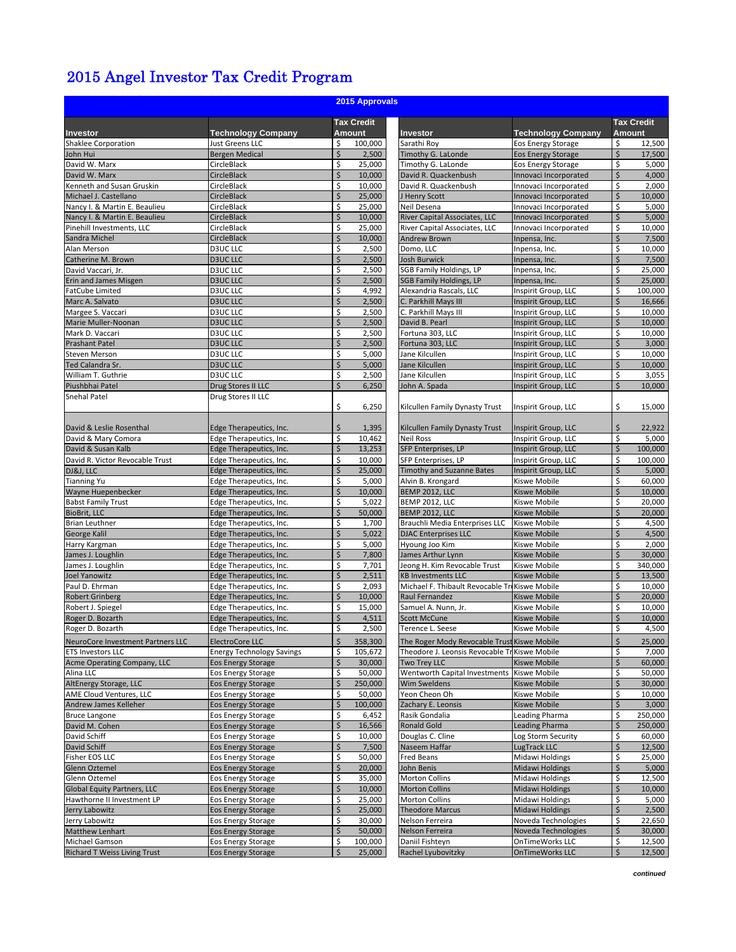## 2015 Angel Investor Tax Credit Program

| 2015 Approvals                                         |                                                 |          |                   |                                               |                                                |          |                   |  |  |
|--------------------------------------------------------|-------------------------------------------------|----------|-------------------|-----------------------------------------------|------------------------------------------------|----------|-------------------|--|--|
|                                                        |                                                 |          | <b>Tax Credit</b> |                                               |                                                |          | <b>Tax Credit</b> |  |  |
| Investor                                               | <b>Technology Company</b>                       |          | <b>Amount</b>     | Investor                                      | <b>Technology Company</b>                      |          | Amount            |  |  |
| Shaklee Corporation                                    | Just Greens LLC                                 | \$       | 100,000           | Sarathi Roy                                   | Eos Energy Storage                             | \$       | 12,500            |  |  |
| John Hui                                               | <b>Bergen Medical</b>                           | \$       | 2,500             | Timothy G. LaLonde                            | <b>Eos Energy Storage</b>                      | \$       | 17,500            |  |  |
| David W. Marx                                          | CircleBlack                                     | \$       | 25,000            | Timothy G. LaLonde                            | Eos Energy Storage                             | \$       | 5,000             |  |  |
| David W. Marx<br>Kenneth and Susan Gruskin             | <b>CircleBlack</b><br>CircleBlack               | \$       | 10,000            | David R. Quackenbush<br>David R. Quackenbush  | Innovaci Incorporated                          | \$<br>\$ | 4,000<br>2,000    |  |  |
|                                                        |                                                 | \$<br>\$ | 10,000            |                                               | Innovaci Incorporated                          | \$       | 10,000            |  |  |
| Michael J. Castellano<br>Nancy I. & Martin E. Beaulieu | <b>CircleBlack</b><br>CircleBlack               | \$       | 25,000<br>25,000  | J Henry Scott<br>Neil Desena                  | Innovaci Incorporated<br>Innovaci Incorporated | \$       | 5,000             |  |  |
| Nancy I. & Martin E. Beaulieu                          | <b>CircleBlack</b>                              | \$       | 10,000            | River Capital Associates, LLC                 | Innovaci Incorporated                          | \$       | 5,000             |  |  |
| Pinehill Investments, LLC                              | CircleBlack                                     | \$       | 25,000            | River Capital Associates, LLC                 | Innovaci Incorporated                          | \$       | 10,000            |  |  |
| Sandra Michel                                          | CircleBlack                                     | \$       | 10,000            | Andrew Brown                                  | Inpensa, Inc.                                  | \$       | 7,500             |  |  |
| Alan Merson                                            | <b>D3UC LLC</b>                                 | \$       | 2,500             | Domo, LLC                                     | Inpensa, Inc.                                  | \$       | 10,000            |  |  |
| Catherine M. Brown                                     | <b>D3UC LLC</b>                                 | $\zeta$  | 2,500             | Josh Burwick                                  | Inpensa, Inc.                                  | \$       | 7,500             |  |  |
| David Vaccari, Jr.                                     | <b>D3UC LLC</b>                                 | \$       | 2,500             | SGB Family Holdings, LP                       | Inpensa, Inc.                                  | \$       | 25,000            |  |  |
| <b>Erin and James Misgen</b>                           | <b>D3UC LLC</b>                                 | \$       | 2,500             | <b>SGB Family Holdings, LP</b>                | Inpensa, Inc.                                  | \$       | 25,000            |  |  |
| FatCube Limited                                        | <b>D3UC LLC</b>                                 | \$       | 4,992             | Alexandria Rascals, LLC                       | Inspirit Group, LLC                            | \$       | 100,000           |  |  |
| Marc A. Salvato                                        | <b>D3UC LLC</b>                                 | \$       | 2,500             | C. Parkhill Mays III                          | Inspirit Group, LLC                            | \$       | 16,666            |  |  |
| Margee S. Vaccari                                      | <b>D3UC LLC</b>                                 | \$       | 2,500             | C. Parkhill Mays III                          | Inspirit Group, LLC                            | \$       | 10,000            |  |  |
| Marie Muller-Noonan                                    | <b>D3UC LLC</b>                                 | \$       | 2,500             | David B. Pearl                                | Inspirit Group, LLC                            | \$       | 10,000            |  |  |
| Mark D. Vaccari                                        | <b>D3UC LLC</b>                                 | \$       | 2,500             | Fortuna 303, LLC                              | Inspirit Group, LLC                            | \$       | 10,000            |  |  |
| <b>Prashant Patel</b>                                  | <b>D3UC LLC</b>                                 | \$       | 2,500             | Fortuna 303, LLC                              | Inspirit Group, LLC                            | \$       | 3,000             |  |  |
| <b>Steven Merson</b>                                   | D3UC LLC                                        | \$       | 5,000             | Jane Kilcullen                                | Inspirit Group, LLC                            | \$       | 10.000            |  |  |
| Ted Calandra Sr.                                       | <b>D3UC LLC</b>                                 | \$       | 5,000             | Jane Kilcullen                                | Inspirit Group, LLC                            | \$       | 10,000            |  |  |
| William T. Guthrie                                     | <b>D3UC LLC</b>                                 | \$       | 2,500             | Jane Kilcullen                                | Inspirit Group, LLC                            | \$       | 3,055             |  |  |
| Piushbhai Patel                                        | Drug Stores II LLC                              | \$       | 6,250             | John A. Spada                                 | Inspirit Group, LLC                            | \$       | 10,000            |  |  |
| <b>Snehal Patel</b>                                    | Drug Stores II LLC                              | \$       | 6,250             | Kilcullen Family Dynasty Trust                | Inspirit Group, LLC                            | \$       | 15,000            |  |  |
| David & Leslie Rosenthal                               | Edge Therapeutics, Inc.                         | \$       |                   | Kilcullen Family Dynasty Trust                |                                                | \$       | 22,922            |  |  |
| David & Mary Comora                                    | Edge Therapeutics, Inc.                         | \$       | 1,395<br>10,462   | <b>Neil Ross</b>                              | Inspirit Group, LLC<br>Inspirit Group, LLC     | \$       | 5,000             |  |  |
| David & Susan Kalb                                     | Edge Therapeutics, Inc.                         | \$       | 13,253            | SFP Enterprises, LP                           | Inspirit Group, LLC                            | \$       | 100,000           |  |  |
| David R. Victor Revocable Trust                        | Edge Therapeutics, Inc.                         | \$       | 10,000            | SFP Enterprises, LP                           | Inspirit Group, LLC                            | \$       | 100,000           |  |  |
| DJ&J, LLC                                              | Edge Therapeutics, Inc.                         | \$       | 25,000            | <b>Timothy and Suzanne Bates</b>              | Inspirit Group, LLC                            | \$       | 5,000             |  |  |
| <b>Tianning Yu</b>                                     | Edge Therapeutics, Inc.                         | \$       | 5,000             | Alvin B. Krongard                             | Kiswe Mobile                                   | \$       | 60,000            |  |  |
| Wayne Huepenbecker                                     | Edge Therapeutics, Inc.                         | \$       | 10,000            | <b>BEMP 2012, LLC</b>                         | <b>Kiswe Mobile</b>                            | \$       | 10,000            |  |  |
| <b>Babst Family Trust</b>                              | Edge Therapeutics, Inc.                         | \$       | 5,022             | <b>BEMP 2012, LLC</b>                         | Kiswe Mobile                                   | \$       | 20,000            |  |  |
| <b>BioBrit, LLC</b>                                    | <b>Edge Therapeutics, Inc.</b>                  | \$       | 50,000            | <b>BEMP 2012, LLC</b>                         | <b>Kiswe Mobile</b>                            | \$       | 20,000            |  |  |
| <b>Brian Leuthner</b>                                  | Edge Therapeutics, Inc.                         | \$       | 1,700             | Brauchli Media Enterprises LLC                | <b>Kiswe Mobile</b>                            | \$       | 4,500             |  |  |
| <b>George Kalil</b>                                    | Edge Therapeutics, Inc.                         | \$       | 5,022             | <b>DJAC Enterprises LLC</b>                   | <b>Kiswe Mobile</b>                            | \$       | 4,500             |  |  |
| Harry Kargman                                          | Edge Therapeutics, Inc.                         | \$       | 5,000             | Hyoung Joo Kim                                | Kiswe Mobile                                   | \$       | 2,000             |  |  |
| James J. Loughlin                                      | Edge Therapeutics, Inc.                         | \$       | 7,800             | James Arthur Lynn                             | <b>Kiswe Mobile</b>                            | \$       | 30,000            |  |  |
| James J. Loughlin                                      | Edge Therapeutics, Inc.                         | \$       | 7,701             | Jeong H. Kim Revocable Trust                  | Kiswe Mobile                                   | \$       | 340,000           |  |  |
| <b>Joel Yanowitz</b>                                   | Edge Therapeutics, Inc.                         | \$       | 2,511             | <b>KB Investments LLC</b>                     | <b>Kiswe Mobile</b>                            | \$       | 13,500            |  |  |
| Paul D. Ehrman                                         | Edge Therapeutics, Inc.                         | \$       | 2,093             | Michael F. Thibault Revocable TriKiswe Mobile |                                                | \$       | 10,000            |  |  |
| <b>Robert Grinberg</b>                                 | Edge Therapeutics, Inc.                         | \$       | 10,000            | Raul Fernandez                                | <b>Kiswe Mobile</b>                            | \$       | 20,000            |  |  |
| Robert J. Spiegel                                      | Edge Therapeutics, Inc.                         | \$       | 15,000            | Samuel A. Nunn, Jr.                           | <b>Kiswe Mobile</b>                            | \$       | 10,000            |  |  |
| Roger D. Bozarth                                       | Edge Therapeutics, Inc.                         | \$       | 4,511             | <b>Scott McCune</b>                           | <b>Kiswe Mobile</b>                            | \$       | 10,000            |  |  |
| Roger D. Bozarth                                       | Edge Therapeutics, Inc.                         | \$       | 2,500             | Terence L. Seese                              | Kiswe Mobile                                   | \$       | 4,500             |  |  |
| NeuroCore Investment Partners LLC                      | ElectroCore LLC                                 | \$       | 358,300           | The Roger Mody Revocable Trust Kiswe Mobile   |                                                | \$       | 25,000            |  |  |
| <b>ETS Investors LLC</b>                               | <b>Energy Technology Savings</b>                | \$       | 105,672           | Theodore J. Leonsis Revocable Tr Kiswe Mobile |                                                | \$       | 7,000             |  |  |
| Acme Operating Company, LLC                            | <b>Eos Energy Storage</b>                       | \$       | 30,000            | Two Trey LLC                                  | <b>Kiswe Mobile</b>                            | \$       | 60,000            |  |  |
| Alina LLC                                              | Eos Energy Storage                              | \$       | 50,000            | Wentworth Capital Investments                 | <b>Kiswe Mobile</b>                            | \$       | 50,000            |  |  |
| AltEnergy Storage, LLC                                 | <b>Eos Energy Storage</b>                       | \$       | 250,000           | <b>Wim Sweldens</b>                           | <b>Kiswe Mobile</b>                            | \$       | 30,000            |  |  |
| AME Cloud Ventures, LLC                                | Eos Energy Storage                              | \$       | 50,000            | Yeon Cheon Oh                                 | Kiswe Mobile                                   | \$       | 10,000            |  |  |
| Andrew James Kelleher                                  | <b>Eos Energy Storage</b>                       | \$       | 100,000           | Zachary E. Leonsis                            | <b>Kiswe Mobile</b>                            | \$       | 3,000             |  |  |
| <b>Bruce Langone</b>                                   | Eos Energy Storage                              | \$       | 6,452             | Rasik Gondalia                                | Leading Pharma                                 | \$       | 250,000           |  |  |
| David M. Cohen                                         | <b>Eos Energy Storage</b>                       | \$       | 16,566            | <b>Ronald Gold</b>                            | Leading Pharma                                 | \$       | 250,000           |  |  |
| David Schiff                                           | Eos Energy Storage                              | \$       | 10,000            | Douglas C. Cline                              | Log Storm Security                             | \$       | 60,000            |  |  |
| David Schiff<br>Fisher EOS LLC                         | <b>Eos Energy Storage</b><br>Eos Energy Storage | \$<br>\$ | 7,500<br>50,000   | Naseem Haffar<br>Fred Beans                   | LugTrack LLC<br>Midawi Holdings                | \$<br>\$ | 12,500<br>25,000  |  |  |
|                                                        |                                                 | \$       |                   |                                               |                                                | \$       |                   |  |  |
| Glenn Oztemel<br>Glenn Oztemel                         | <b>Eos Energy Storage</b><br>Eos Energy Storage | \$       | 20,000<br>35,000  | John Benis<br>Morton Collins                  | <b>Midawi Holdings</b><br>Midawi Holdings      | \$       | 5,000<br>12,500   |  |  |
| Global Equity Partners, LLC                            | <b>Eos Energy Storage</b>                       | \$       | 10,000            | <b>Morton Collins</b>                         | <b>Midawi Holdings</b>                         | \$       | 10,000            |  |  |
| Hawthorne II Investment LP                             | Eos Energy Storage                              | \$       | 25,000            | Morton Collins                                | Midawi Holdings                                | \$       | 5,000             |  |  |
| Jerry Labowitz                                         | <b>Eos Energy Storage</b>                       | \$       | 25,000            | <b>Theodore Marcus</b>                        | <b>Midawi Holdings</b>                         | \$       | 2,500             |  |  |
| Jerry Labowitz                                         | Eos Energy Storage                              | \$       | 30,000            | Nelson Ferreira                               | Noveda Technologies                            | \$       | 22,650            |  |  |
| <b>Matthew Lenhart</b>                                 | Eos Energy Storage                              | \$       | 50,000            | Nelson Ferreira                               | Noveda Technologies                            | \$       | 30,000            |  |  |
| Michael Gamson                                         | Eos Energy Storage                              | \$       | 100,000           | Daniil Fishteyn                               | OnTimeWorks LLC                                | \$       | 12,500            |  |  |
| Richard T Weiss Living Trust                           | <b>Eos Energy Storage</b>                       | \$       | 25,000            | Rachel Lyubovitzky                            | <b>OnTimeWorks LLC</b>                         | \$       | 12,500            |  |  |

*continued*